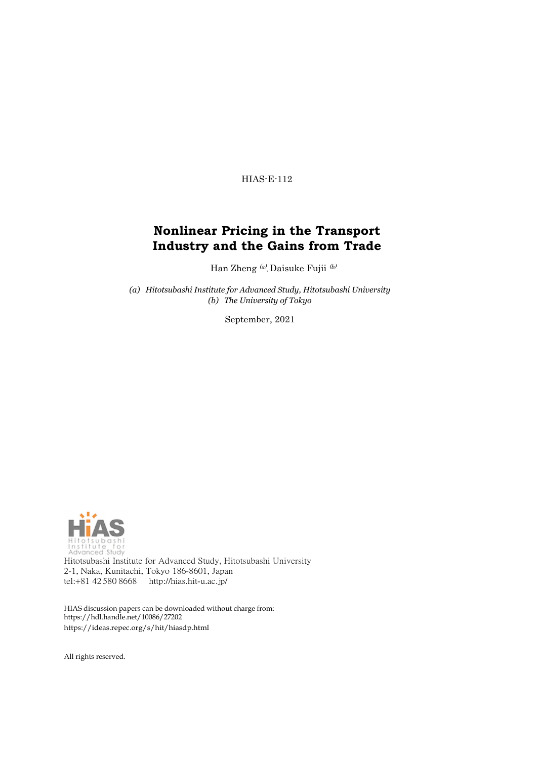HIAS-E-112

#### **Nonlinear Pricing in the Transport Industry and the Gains from Trade**

Han Zheng (a), Daisuke Fujii (b)

*(a) Hitotsubashi Institute for Advanced Study, Hitotsubashi University (b) The University of Tokyo*

September, 2021



Hitotsubashi Institute for Advanced Study, Hitotsubashi University 2-1, Naka, Kunitachi, Tokyo 186-8601, Japan tel:+81 42 580 8668 <http://hias.hit-u.ac.jp/>

HIAS discussion papers can be downloaded without charge from: [https://hdl.handle.net/10086/27202](http://hdl.handle.net/10086/27202) https://ideas.repec.org/s/hit/hiasdp.html

All rights reserved.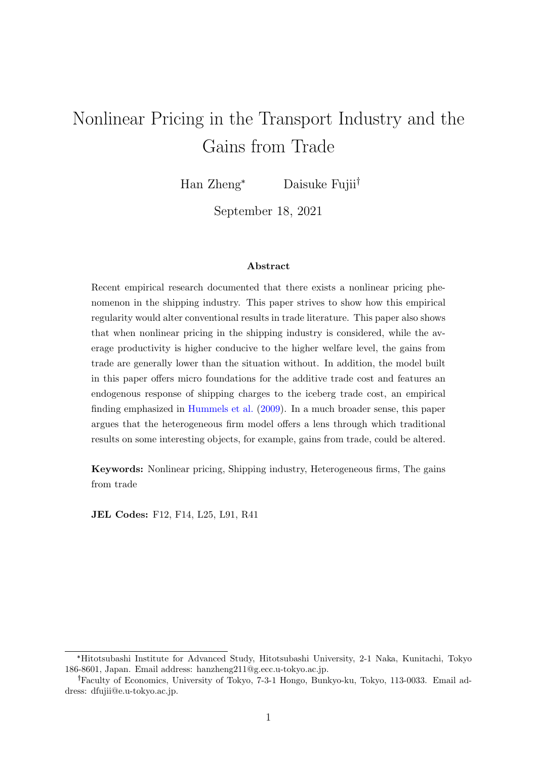# Nonlinear Pricing in the Transport Industry and the Gains from Trade

Han Zheng<sup>\*</sup> Daisuke Fujii<sup>†</sup>

September 18, 2021

#### Abstract

Recent empirical research documented that there exists a nonlinear pricing phenomenon in the shipping industry. This paper strives to show how this empirical regularity would alter conventional results in trade literature. This paper also shows that when nonlinear pricing in the shipping industry is considered, while the average productivity is higher conducive to the higher welfare level, the gains from trade are generally lower than the situation without. In addition, the model built in this paper offers micro foundations for the additive trade cost and features an endogenous response of shipping charges to the iceberg trade cost, an empirical finding emphasized in [Hummels et al.](#page-27-0) [\(2009\)](#page-27-0). In a much broader sense, this paper argues that the heterogeneous firm model offers a lens through which traditional results on some interesting objects, for example, gains from trade, could be altered.

Keywords: Nonlinear pricing, Shipping industry, Heterogeneous firms, The gains from trade

JEL Codes: F12, F14, L25, L91, R41

<sup>\*</sup>Hitotsubashi Institute for Advanced Study, Hitotsubashi University, 2-1 Naka, Kunitachi, Tokyo 186-8601, Japan. Email address: hanzheng211@g.ecc.u-tokyo.ac.jp.

Faculty of Economics, University of Tokyo, 7-3-1 Hongo, Bunkyo-ku, Tokyo, 113-0033. Email address: dfujii@e.u-tokyo.ac.jp.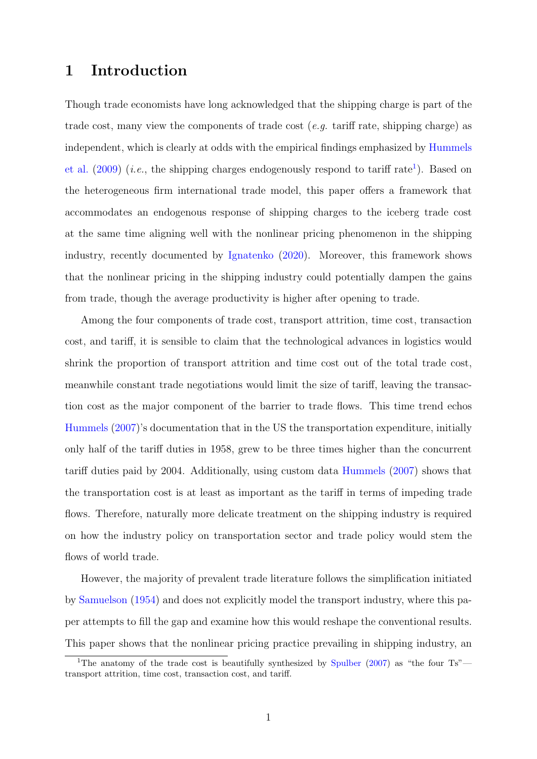#### 1 Introduction

Though trade economists have long acknowledged that the shipping charge is part of the trade cost, many view the components of trade cost  $(e,q. \text{ tariff rate}, \text{shipping charge})$  as independent, which is clearly at odds with the empirical findings emphasized by [Hummels](#page-27-0) [et al.](#page-27-0)  $(2009)$  (*i.e.*, the shipping charges endogenously respond to tariff rate<sup>[1](#page-2-0)</sup>). Based on the heterogeneous firm international trade model, this paper offers a framework that accommodates an endogenous response of shipping charges to the iceberg trade cost at the same time aligning well with the nonlinear pricing phenomenon in the shipping industry, recently documented by [Ignatenko](#page-27-1) [\(2020\)](#page-27-1). Moreover, this framework shows that the nonlinear pricing in the shipping industry could potentially dampen the gains from trade, though the average productivity is higher after opening to trade.

Among the four components of trade cost, transport attrition, time cost, transaction cost, and tariff, it is sensible to claim that the technological advances in logistics would shrink the proportion of transport attrition and time cost out of the total trade cost, meanwhile constant trade negotiations would limit the size of tariff, leaving the transaction cost as the major component of the barrier to trade flows. This time trend echos [Hummels](#page-27-2) [\(2007\)](#page-27-2)'s documentation that in the US the transportation expenditure, initially only half of the tariff duties in 1958, grew to be three times higher than the concurrent tariff duties paid by 2004. Additionally, using custom data [Hummels](#page-27-2) [\(2007\)](#page-27-2) shows that the transportation cost is at least as important as the tariff in terms of impeding trade flows. Therefore, naturally more delicate treatment on the shipping industry is required on how the industry policy on transportation sector and trade policy would stem the flows of world trade.

However, the majority of prevalent trade literature follows the simplification initiated by [Samuelson](#page-28-0) [\(1954\)](#page-28-0) and does not explicitly model the transport industry, where this paper attempts to fill the gap and examine how this would reshape the conventional results. This paper shows that the nonlinear pricing practice prevailing in shipping industry, an

<span id="page-2-0"></span><sup>&</sup>lt;sup>1</sup>The anatomy of the trade cost is beautifully synthesized by [Spulber](#page-28-1)  $(2007)$  as "the four Ts" transport attrition, time cost, transaction cost, and tariff.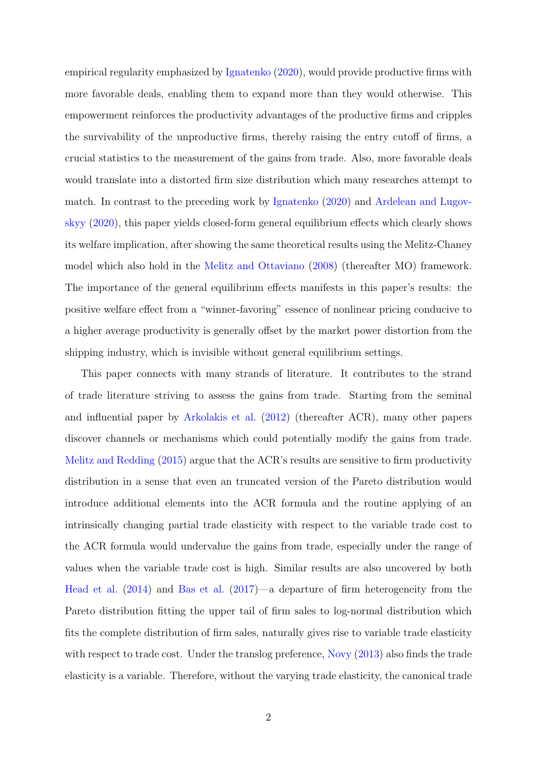empirical regularity emphasized by [Ignatenko](#page-27-1) [\(2020\)](#page-27-1), would provide productive firms with more favorable deals, enabling them to expand more than they would otherwise. This empowerment reinforces the productivity advantages of the productive firms and cripples the survivability of the unproductive firms, thereby raising the entry cutoff of firms, a crucial statistics to the measurement of the gains from trade. Also, more favorable deals would translate into a distorted firm size distribution which many researches attempt to match. In contrast to the preceding work by [Ignatenko](#page-27-1) [\(2020\)](#page-27-1) and [Ardelean and Lugov](#page-26-0)[skyy](#page-26-0) [\(2020\)](#page-26-0), this paper yields closed-form general equilibrium effects which clearly shows its welfare implication, after showing the same theoretical results using the Melitz-Chaney model which also hold in the [Melitz and Ottaviano](#page-27-3) [\(2008\)](#page-27-3) (thereafter MO) framework. The importance of the general equilibrium effects manifests in this paper's results: the positive welfare effect from a "winner-favoring" essence of nonlinear pricing conducive to a higher average productivity is generally offset by the market power distortion from the shipping industry, which is invisible without general equilibrium settings.

This paper connects with many strands of literature. It contributes to the strand of trade literature striving to assess the gains from trade. Starting from the seminal and influential paper by [Arkolakis et al.](#page-26-1) [\(2012\)](#page-26-1) (thereafter ACR), many other papers discover channels or mechanisms which could potentially modify the gains from trade. [Melitz and Redding](#page-28-2) [\(2015\)](#page-28-2) argue that the ACR's results are sensitive to firm productivity distribution in a sense that even an truncated version of the Pareto distribution would introduce additional elements into the ACR formula and the routine applying of an intrinsically changing partial trade elasticity with respect to the variable trade cost to the ACR formula would undervalue the gains from trade, especially under the range of values when the variable trade cost is high. Similar results are also uncovered by both [Head et al.](#page-27-4) [\(2014\)](#page-27-4) and [Bas et al.](#page-26-2) [\(2017\)](#page-26-2)—a departure of firm heterogeneity from the Pareto distribution fitting the upper tail of firm sales to log-normal distribution which fits the complete distribution of firm sales, naturally gives rise to variable trade elasticity with respect to trade cost. Under the translog preference, [Novy](#page-28-3) [\(2013\)](#page-28-3) also finds the trade elasticity is a variable. Therefore, without the varying trade elasticity, the canonical trade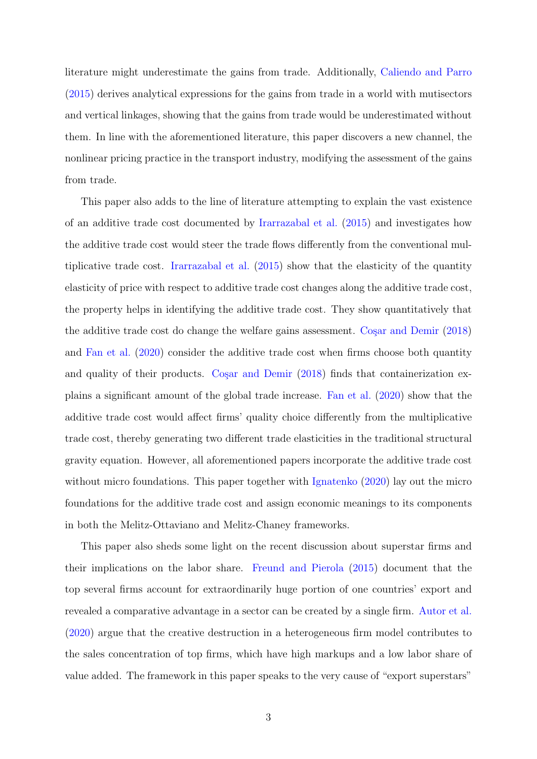literature might underestimate the gains from trade. Additionally, [Caliendo and Parro](#page-26-3) [\(2015\)](#page-26-3) derives analytical expressions for the gains from trade in a world with mutisectors and vertical linkages, showing that the gains from trade would be underestimated without them. In line with the aforementioned literature, this paper discovers a new channel, the nonlinear pricing practice in the transport industry, modifying the assessment of the gains from trade.

This paper also adds to the line of literature attempting to explain the vast existence of an additive trade cost documented by [Irarrazabal et al.](#page-27-5) [\(2015\)](#page-27-5) and investigates how the additive trade cost would steer the trade flows differently from the conventional multiplicative trade cost. [Irarrazabal et al.](#page-27-5) [\(2015\)](#page-27-5) show that the elasticity of the quantity elasticity of price with respect to additive trade cost changes along the additive trade cost, the property helps in identifying the additive trade cost. They show quantitatively that the additive trade cost do change the welfare gains assessment. Cosar and Demir  $(2018)$ and [Fan et al.](#page-26-5) [\(2020\)](#page-26-5) consider the additive trade cost when firms choose both quantity and quality of their products. Cosar and Demir  $(2018)$  finds that containerization explains a significant amount of the global trade increase. [Fan et al.](#page-26-5) [\(2020\)](#page-26-5) show that the additive trade cost would affect firms' quality choice differently from the multiplicative trade cost, thereby generating two different trade elasticities in the traditional structural gravity equation. However, all aforementioned papers incorporate the additive trade cost without micro foundations. This paper together with [Ignatenko](#page-27-1) [\(2020\)](#page-27-1) lay out the micro foundations for the additive trade cost and assign economic meanings to its components in both the Melitz-Ottaviano and Melitz-Chaney frameworks.

This paper also sheds some light on the recent discussion about superstar firms and their implications on the labor share. [Freund and Pierola](#page-27-6) [\(2015\)](#page-27-6) document that the top several firms account for extraordinarily huge portion of one countries' export and revealed a comparative advantage in a sector can be created by a single firm. [Autor et al.](#page-26-6) [\(2020\)](#page-26-6) argue that the creative destruction in a heterogeneous firm model contributes to the sales concentration of top firms, which have high markups and a low labor share of value added. The framework in this paper speaks to the very cause of "export superstars"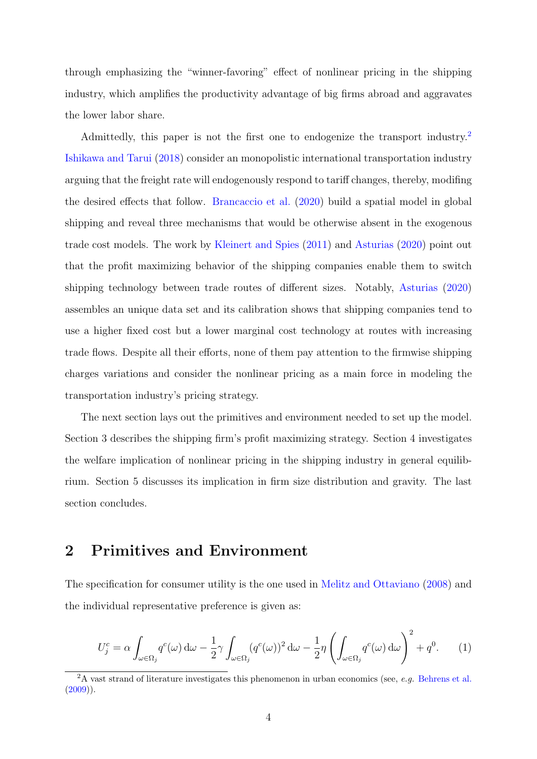through emphasizing the "winner-favoring" effect of nonlinear pricing in the shipping industry, which amplifies the productivity advantage of big firms abroad and aggravates the lower labor share.

Admittedly, this paper is not the first one to endogenize the transport industry.<sup>[2](#page-5-0)</sup> [Ishikawa and Tarui](#page-27-7) [\(2018\)](#page-27-7) consider an monopolistic international transportation industry arguing that the freight rate will endogenously respond to tariff changes, thereby, modifing the desired effects that follow. [Brancaccio et al.](#page-26-7) [\(2020\)](#page-26-7) build a spatial model in global shipping and reveal three mechanisms that would be otherwise absent in the exogenous trade cost models. The work by [Kleinert and Spies](#page-27-8) [\(2011\)](#page-27-8) and [Asturias](#page-26-8) [\(2020\)](#page-26-8) point out that the profit maximizing behavior of the shipping companies enable them to switch shipping technology between trade routes of different sizes. Notably, [Asturias](#page-26-8) [\(2020\)](#page-26-8) assembles an unique data set and its calibration shows that shipping companies tend to use a higher fixed cost but a lower marginal cost technology at routes with increasing trade flows. Despite all their efforts, none of them pay attention to the firmwise shipping charges variations and consider the nonlinear pricing as a main force in modeling the transportation industry's pricing strategy.

The next section lays out the primitives and environment needed to set up the model. Section 3 describes the shipping firm's profit maximizing strategy. Section 4 investigates the welfare implication of nonlinear pricing in the shipping industry in general equilibrium. Section 5 discusses its implication in firm size distribution and gravity. The last section concludes.

#### 2 Primitives and Environment

The specification for consumer utility is the one used in [Melitz and Ottaviano](#page-27-3) [\(2008\)](#page-27-3) and the individual representative preference is given as:

$$
U_j^c = \alpha \int_{\omega \in \Omega_j} q^c(\omega) d\omega - \frac{1}{2} \gamma \int_{\omega \in \Omega_j} (q^c(\omega))^2 d\omega - \frac{1}{2} \eta \left( \int_{\omega \in \Omega_j} q^c(\omega) d\omega \right)^2 + q^0. \tag{1}
$$

<span id="page-5-0"></span><sup>&</sup>lt;sup>2</sup>A vast strand of literature investigates this phenomenon in urban economics (see, *e.g.* [Behrens et al.](#page-26-9)  $(2009)$ ).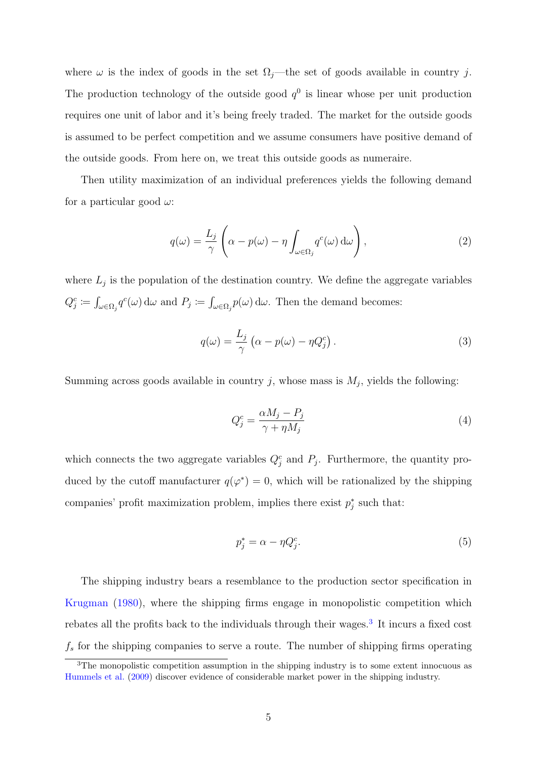where  $\omega$  is the index of goods in the set  $\Omega_j$ —the set of goods available in country j. The production technology of the outside good  $q^0$  is linear whose per unit production requires one unit of labor and it's being freely traded. The market for the outside goods is assumed to be perfect competition and we assume consumers have positive demand of the outside goods. From here on, we treat this outside goods as numeraire.

Then utility maximization of an individual preferences yields the following demand for a particular good  $\omega$ :

$$
q(\omega) = \frac{L_j}{\gamma} \left( \alpha - p(\omega) - \eta \int_{\omega \in \Omega_j} q^c(\omega) d\omega \right), \qquad (2)
$$

where  $L_j$  is the population of the destination country. We define the aggregate variables  $Q_j^c \coloneqq \int_{\omega \in \Omega_j} q^c(\omega) d\omega$  and  $P_j \coloneqq \int_{\omega \in \Omega_j} p(\omega) d\omega$ . Then the demand becomes:

$$
q(\omega) = \frac{L_j}{\gamma} \left( \alpha - p(\omega) - \eta Q_j^c \right). \tag{3}
$$

Summing across goods available in country j, whose mass is  $M_j$ , yields the following:

<span id="page-6-1"></span>
$$
Q_j^c = \frac{\alpha M_j - P_j}{\gamma + \eta M_j} \tag{4}
$$

which connects the two aggregate variables  $Q_j^c$  and  $P_j$ . Furthermore, the quantity produced by the cutoff manufacturer  $q(\varphi^*) = 0$ , which will be rationalized by the shipping companies' profit maximization problem, implies there exist  $p_j^*$  such that:

$$
p_j^* = \alpha - \eta Q_j^c. \tag{5}
$$

The shipping industry bears a resemblance to the production sector specification in [Krugman](#page-27-9) [\(1980\)](#page-27-9), where the shipping firms engage in monopolistic competition which rebates all the profits back to the individuals through their wages.<sup>[3](#page-6-0)</sup> It incurs a fixed cost  $f_s$  for the shipping companies to serve a route. The number of shipping firms operating

<span id="page-6-0"></span><sup>&</sup>lt;sup>3</sup>The monopolistic competition assumption in the shipping industry is to some extent innocuous as [Hummels et al.](#page-27-0) [\(2009\)](#page-27-0) discover evidence of considerable market power in the shipping industry.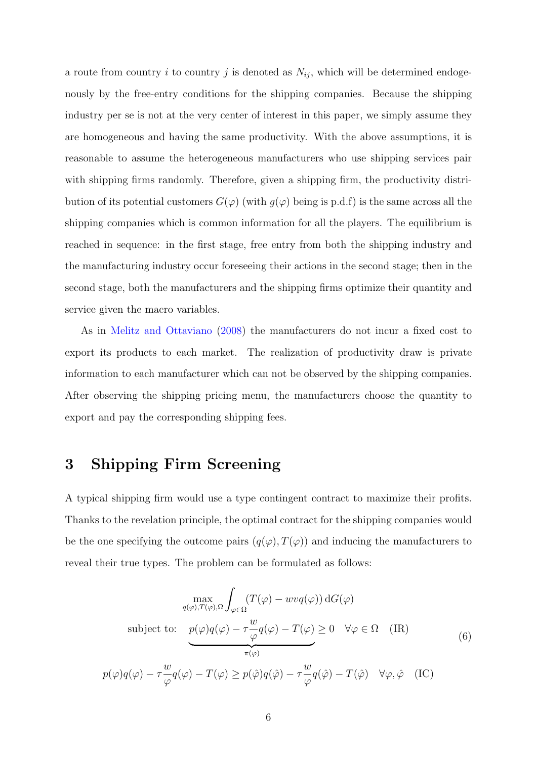a route from country i to country j is denoted as  $N_{ij}$ , which will be determined endogenously by the free-entry conditions for the shipping companies. Because the shipping industry per se is not at the very center of interest in this paper, we simply assume they are homogeneous and having the same productivity. With the above assumptions, it is reasonable to assume the heterogeneous manufacturers who use shipping services pair with shipping firms randomly. Therefore, given a shipping firm, the productivity distribution of its potential customers  $G(\varphi)$  (with  $g(\varphi)$  being is p.d.f) is the same across all the shipping companies which is common information for all the players. The equilibrium is reached in sequence: in the first stage, free entry from both the shipping industry and the manufacturing industry occur foreseeing their actions in the second stage; then in the second stage, both the manufacturers and the shipping firms optimize their quantity and service given the macro variables.

As in [Melitz and Ottaviano](#page-27-3) [\(2008\)](#page-27-3) the manufacturers do not incur a fixed cost to export its products to each market. The realization of productivity draw is private information to each manufacturer which can not be observed by the shipping companies. After observing the shipping pricing menu, the manufacturers choose the quantity to export and pay the corresponding shipping fees.

#### <span id="page-7-0"></span>3 Shipping Firm Screening

A typical shipping firm would use a type contingent contract to maximize their profits. Thanks to the revelation principle, the optimal contract for the shipping companies would be the one specifying the outcome pairs  $(q(\varphi), T(\varphi))$  and inducing the manufacturers to reveal their true types. The problem can be formulated as follows:

$$
\max_{q(\varphi), T(\varphi), \Omega} \int_{\varphi \in \Omega} (T(\varphi) - wvq(\varphi)) dG(\varphi)
$$
\nsubject to: 
$$
\underbrace{p(\varphi)q(\varphi) - \tau \frac{w}{\varphi}q(\varphi) - T(\varphi)}_{\pi(\varphi)} \geq 0 \quad \forall \varphi \in \Omega \quad (IR)
$$
\n
$$
p(\varphi)q(\varphi) - \tau \frac{w}{\varphi}q(\varphi) - T(\varphi) \geq p(\hat{\varphi})q(\hat{\varphi}) - \tau \frac{w}{\varphi}q(\hat{\varphi}) - T(\hat{\varphi}) \quad \forall \varphi, \hat{\varphi} \quad (IC)
$$
\n(6)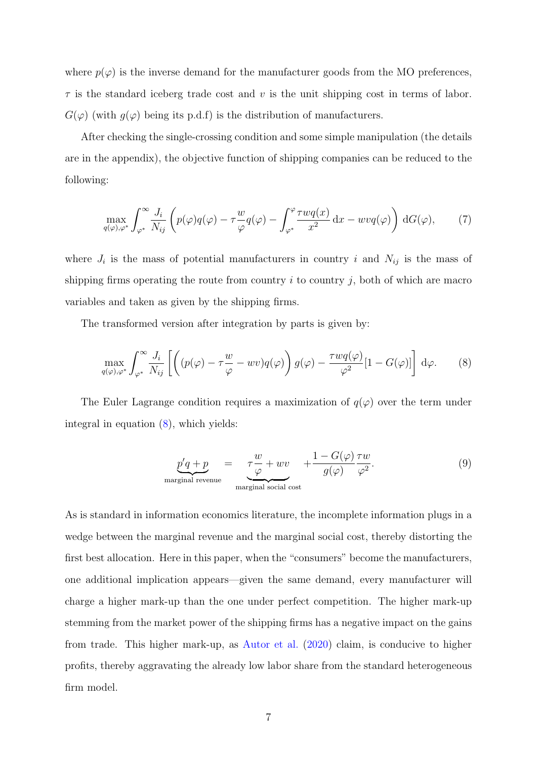where  $p(\varphi)$  is the inverse demand for the manufacturer goods from the MO preferences,  $\tau$  is the standard iceberg trade cost and v is the unit shipping cost in terms of labor.  $G(\varphi)$  (with  $q(\varphi)$  being its p.d.f) is the distribution of manufacturers.

After checking the single-crossing condition and some simple manipulation (the details are in the appendix), the objective function of shipping companies can be reduced to the following:

<span id="page-8-2"></span>
$$
\max_{q(\varphi),\varphi^*} \int_{\varphi^*}^{\infty} \frac{J_i}{N_{ij}} \left( p(\varphi)q(\varphi) - \tau \frac{w}{\varphi}q(\varphi) - \int_{\varphi^*}^{\varphi} \frac{\tau wq(x)}{x^2} dx - wvq(\varphi) \right) dG(\varphi), \tag{7}
$$

where  $J_i$  is the mass of potential manufacturers in country i and  $N_{ij}$  is the mass of shipping firms operating the route from country  $i$  to country  $j$ , both of which are macro variables and taken as given by the shipping firms.

The transformed version after integration by parts is given by:

<span id="page-8-0"></span>
$$
\max_{q(\varphi),\varphi^*} \int_{\varphi^*}^{\infty} \frac{J_i}{N_{ij}} \left[ \left( (p(\varphi) - \tau \frac{w}{\varphi} - wv) q(\varphi) \right) g(\varphi) - \frac{\tau w q(\varphi)}{\varphi^2} [1 - G(\varphi)] \right] d\varphi.
$$
 (8)

The Euler Lagrange condition requires a maximization of  $q(\varphi)$  over the term under integral in equation [\(8\)](#page-8-0), which yields:

<span id="page-8-1"></span>
$$
\underbrace{p'q + p}_{\text{marginal revenue}} = \underbrace{\tau \frac{w}{\varphi} + wv}_{\text{marginal social cost}} + \frac{1 - G(\varphi)}{g(\varphi)} \frac{\tau w}{\varphi^2}.
$$
\n(9)

As is standard in information economics literature, the incomplete information plugs in a wedge between the marginal revenue and the marginal social cost, thereby distorting the first best allocation. Here in this paper, when the "consumers" become the manufacturers, one additional implication appears—given the same demand, every manufacturer will charge a higher mark-up than the one under perfect competition. The higher mark-up stemming from the market power of the shipping firms has a negative impact on the gains from trade. This higher mark-up, as [Autor et al.](#page-26-6) [\(2020\)](#page-26-6) claim, is conducive to higher profits, thereby aggravating the already low labor share from the standard heterogeneous firm model.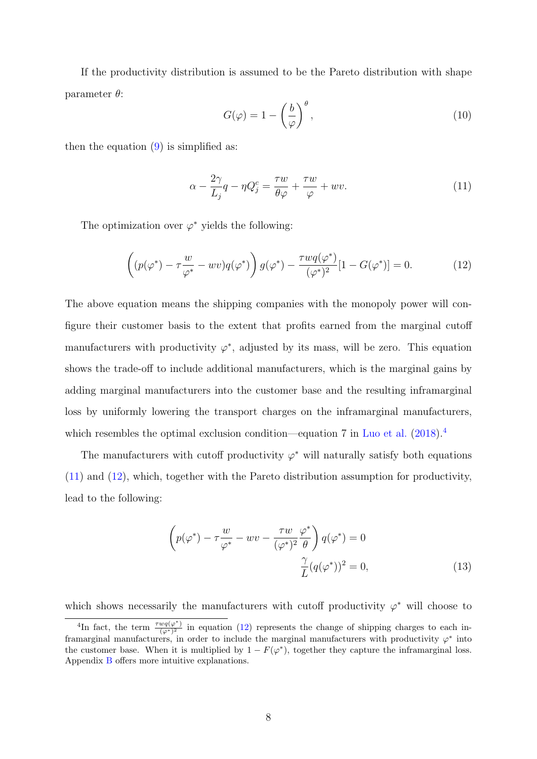If the productivity distribution is assumed to be the Pareto distribution with shape parameter  $\theta$ :

$$
G(\varphi) = 1 - \left(\frac{b}{\varphi}\right)^{\theta},\tag{10}
$$

then the equation  $(9)$  is simplified as:

<span id="page-9-1"></span>
$$
\alpha - \frac{2\gamma}{L_j}q - \eta Q_j^c = \frac{\tau w}{\theta \varphi} + \frac{\tau w}{\varphi} + wv. \tag{11}
$$

The optimization over  $\varphi^*$  yields the following:

<span id="page-9-2"></span>
$$
\left( (p(\varphi^*) - \tau \frac{w}{\varphi^*} - wv)q(\varphi^*) \right) g(\varphi^*) - \frac{\tau w q(\varphi^*)}{(\varphi^*)^2} [1 - G(\varphi^*)] = 0. \tag{12}
$$

The above equation means the shipping companies with the monopoly power will configure their customer basis to the extent that profits earned from the marginal cutoff manufacturers with productivity  $\varphi^*$ , adjusted by its mass, will be zero. This equation shows the trade-off to include additional manufacturers, which is the marginal gains by adding marginal manufacturers into the customer base and the resulting inframarginal loss by uniformly lowering the transport charges on the inframarginal manufacturers, which resembles the optimal exclusion condition—equation 7 in [Luo et al.](#page-27-10) [\(2018\)](#page-27-10).<sup>[4](#page-9-0)</sup>

The manufacturers with cutoff productivity  $\varphi^*$  will naturally satisfy both equations [\(11\)](#page-9-1) and [\(12\)](#page-9-2), which, together with the Pareto distribution assumption for productivity, lead to the following:

<span id="page-9-3"></span>
$$
\left(p(\varphi^*) - \tau \frac{w}{\varphi^*} - wv - \frac{\tau w}{(\varphi^*)^2} \frac{\varphi^*}{\theta}\right) q(\varphi^*) = 0
$$
  

$$
\frac{\gamma}{L} (q(\varphi^*))^2 = 0,
$$
 (13)

which shows necessarily the manufacturers with cutoff productivity  $\varphi^*$  will choose to

<span id="page-9-0"></span><sup>&</sup>lt;sup>4</sup>In fact, the term  $\frac{\tau w q(\varphi^*)}{(\varphi^*)^2}$  in equation [\(12\)](#page-9-2) represents the change of shipping charges to each inframarginal manufacturers, in order to include the marginal manufacturers with productivity  $\varphi^*$  into the customer base. When it is multiplied by  $1 - F(\varphi^*)$ , together they capture the inframarginal loss. Appendix [B](#page-29-0) offers more intuitive explanations.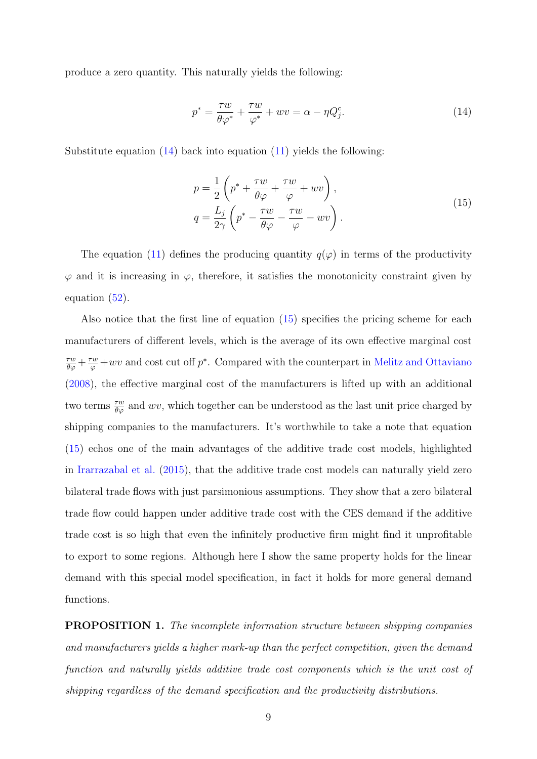produce a zero quantity. This naturally yields the following:

<span id="page-10-0"></span>
$$
p^* = \frac{\tau w}{\theta \varphi^*} + \frac{\tau w}{\varphi^*} + wv = \alpha - \eta Q_j^c.
$$
 (14)

Substitute equation  $(14)$  back into equation  $(11)$  yields the following:

<span id="page-10-1"></span>
$$
p = \frac{1}{2} \left( p^* + \frac{\tau w}{\theta \varphi} + \frac{\tau w}{\varphi} + wv \right),
$$
  
\n
$$
q = \frac{L_j}{2\gamma} \left( p^* - \frac{\tau w}{\theta \varphi} - \frac{\tau w}{\varphi} - wv \right).
$$
\n(15)

The equation [\(11\)](#page-9-1) defines the producing quantity  $q(\varphi)$  in terms of the productivity  $\varphi$  and it is increasing in  $\varphi$ , therefore, it satisfies the monotonicity constraint given by equation [\(52\)](#page-28-4).

Also notice that the first line of equation [\(15\)](#page-10-1) specifies the pricing scheme for each manufacturers of different levels, which is the average of its own effective marginal cost  $\frac{\tau w}{\theta \varphi} + \frac{\tau w}{\varphi} + wv$  and cost cut off  $p^*$ . Compared with the counterpart in [Melitz and Ottaviano](#page-27-3) [\(2008\)](#page-27-3), the effective marginal cost of the manufacturers is lifted up with an additional two terms  $\frac{\tau w}{\theta \varphi}$  and wv, which together can be understood as the last unit price charged by shipping companies to the manufacturers. It's worthwhile to take a note that equation [\(15\)](#page-10-1) echos one of the main advantages of the additive trade cost models, highlighted in [Irarrazabal et al.](#page-27-5) [\(2015\)](#page-27-5), that the additive trade cost models can naturally yield zero bilateral trade flows with just parsimonious assumptions. They show that a zero bilateral trade flow could happen under additive trade cost with the CES demand if the additive trade cost is so high that even the infinitely productive firm might find it unprofitable to export to some regions. Although here I show the same property holds for the linear demand with this special model specification, in fact it holds for more general demand functions.

PROPOSITION 1. The incomplete information structure between shipping companies and manufacturers yields a higher mark-up than the perfect competition, given the demand function and naturally yields additive trade cost components which is the unit cost of shipping regardless of the demand specification and the productivity distributions.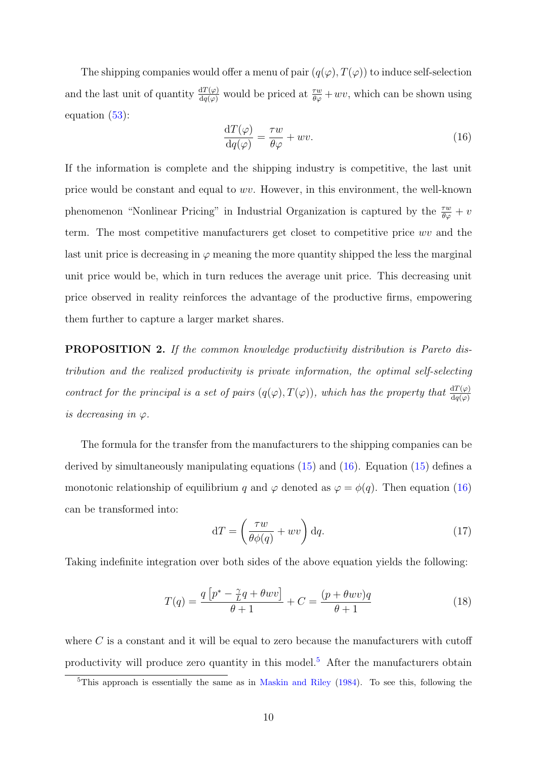The shipping companies would offer a menu of pair  $(q(\varphi), T(\varphi))$  to induce self-selection and the last unit of quantity  $\frac{dT(\varphi)}{dq(\varphi)}$  would be priced at  $\frac{\tau w}{\theta \varphi} + wv$ , which can be shown using equation [\(53\)](#page-29-1):

<span id="page-11-0"></span>
$$
\frac{\mathrm{d}T(\varphi)}{\mathrm{d}q(\varphi)} = \frac{\tau w}{\theta \varphi} + wv.
$$
\n(16)

If the information is complete and the shipping industry is competitive, the last unit price would be constant and equal to wv. However, in this environment, the well-known phenomenon "Nonlinear Pricing" in Industrial Organization is captured by the  $\frac{\tau w}{\theta \varphi} + v$ term. The most competitive manufacturers get closet to competitive price wv and the last unit price is decreasing in  $\varphi$  meaning the more quantity shipped the less the marginal unit price would be, which in turn reduces the average unit price. This decreasing unit price observed in reality reinforces the advantage of the productive firms, empowering them further to capture a larger market shares.

PROPOSITION 2. If the common knowledge productivity distribution is Pareto distribution and the realized productivity is private information, the optimal self-selecting contract for the principal is a set of pairs  $(q(\varphi), T(\varphi))$ , which has the property that  $\frac{dT(\varphi)}{dq(\varphi)}$ is decreasing in  $\varphi$ .

The formula for the transfer from the manufacturers to the shipping companies can be derived by simultaneously manipulating equations [\(15\)](#page-10-1) and [\(16\)](#page-11-0). Equation [\(15\)](#page-10-1) defines a monotonic relationship of equilibrium q and  $\varphi$  denoted as  $\varphi = \phi(q)$ . Then equation [\(16\)](#page-11-0) can be transformed into:

$$
dT = \left(\frac{\tau w}{\theta \phi(q)} + wv\right) dq.
$$
\n(17)

Taking indefinite integration over both sides of the above equation yields the following:

<span id="page-11-2"></span>
$$
T(q) = \frac{q\left[p^* - \frac{\gamma}{L}q + \theta wv\right]}{\theta + 1} + C = \frac{(p + \theta wv)q}{\theta + 1} \tag{18}
$$

where  $C$  is a constant and it will be equal to zero because the manufacturers with cutoff productivity will produce zero quantity in this model.[5](#page-11-1) After the manufacturers obtain

<span id="page-11-1"></span><sup>&</sup>lt;sup>5</sup>This approach is essentially the same as in [Maskin and Riley](#page-27-11)  $(1984)$ . To see this, following the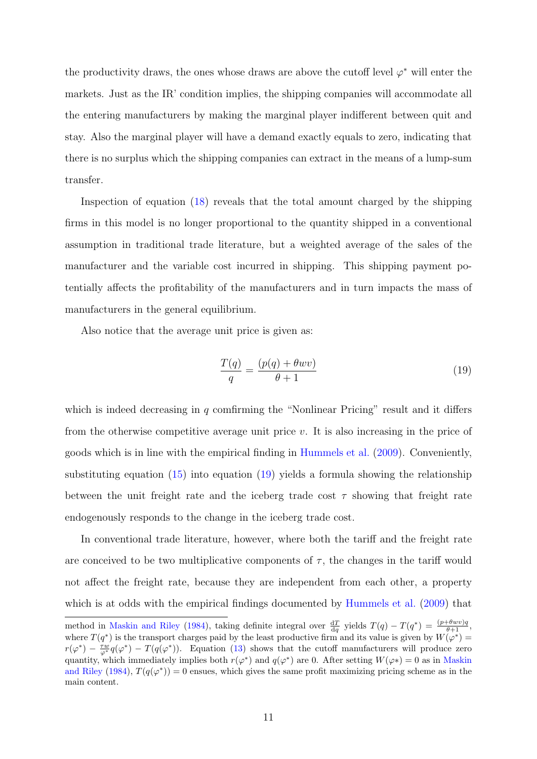the productivity draws, the ones whose draws are above the cutoff level  $\varphi^*$  will enter the markets. Just as the IR' condition implies, the shipping companies will accommodate all the entering manufacturers by making the marginal player indifferent between quit and stay. Also the marginal player will have a demand exactly equals to zero, indicating that there is no surplus which the shipping companies can extract in the means of a lump-sum transfer.

Inspection of equation [\(18\)](#page-11-2) reveals that the total amount charged by the shipping firms in this model is no longer proportional to the quantity shipped in a conventional assumption in traditional trade literature, but a weighted average of the sales of the manufacturer and the variable cost incurred in shipping. This shipping payment potentially affects the profitability of the manufacturers and in turn impacts the mass of manufacturers in the general equilibrium.

Also notice that the average unit price is given as:

<span id="page-12-0"></span>
$$
\frac{T(q)}{q} = \frac{(p(q) + \theta wv)}{\theta + 1}
$$
\n(19)

which is indeed decreasing in  $q$  comfirming the "Nonlinear Pricing" result and it differs from the otherwise competitive average unit price  $v$ . It is also increasing in the price of goods which is in line with the empirical finding in [Hummels et al.](#page-27-0) [\(2009\)](#page-27-0). Conveniently, substituting equation [\(15\)](#page-10-1) into equation [\(19\)](#page-12-0) yields a formula showing the relationship between the unit freight rate and the iceberg trade cost  $\tau$  showing that freight rate endogenously responds to the change in the iceberg trade cost.

In conventional trade literature, however, where both the tariff and the freight rate are conceived to be two multiplicative components of  $\tau$ , the changes in the tariff would not affect the freight rate, because they are independent from each other, a property which is at odds with the empirical findings documented by [Hummels et al.](#page-27-0) [\(2009\)](#page-27-0) that

method in [Maskin and Riley](#page-27-11) [\(1984\)](#page-27-11), taking definite integral over  $\frac{dT}{dq}$  yields  $T(q) - T(q^*) = \frac{(p + \theta w v)q}{\theta + 1}$ , where  $T(q^*)$  is the transport charges paid by the least productive firm and its value is given by  $W(\varphi^*)$  =  $r(\varphi^*) - \frac{\tau w}{\varphi^*} q(\varphi^*) - T(q(\varphi^*))$ . Equation [\(13\)](#page-9-3) shows that the cutoff manufacturers will produce zero quantity, which immediately implies both  $r(\varphi^*)$  and  $q(\varphi^*)$  are 0. After setting  $W(\varphi^*) = 0$  as in [Maskin](#page-27-11) [and Riley](#page-27-11) [\(1984\)](#page-27-11),  $T(q(\varphi^*))=0$  ensues, which gives the same profit maximizing pricing scheme as in the main content.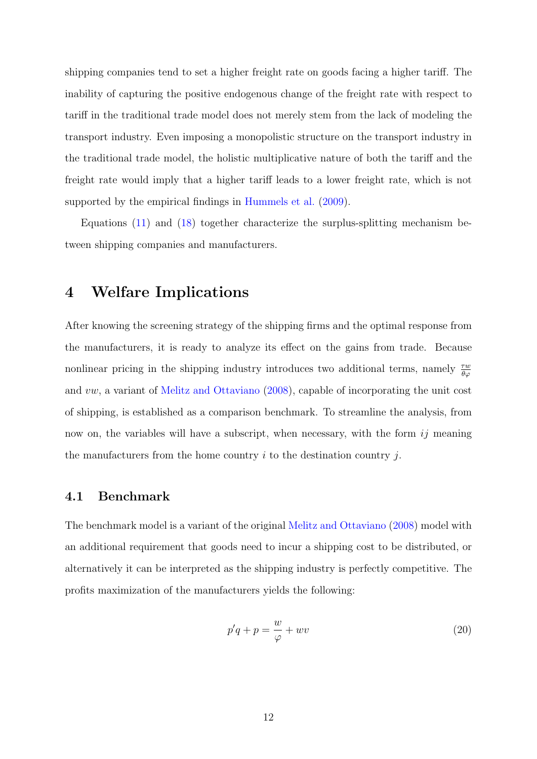shipping companies tend to set a higher freight rate on goods facing a higher tariff. The inability of capturing the positive endogenous change of the freight rate with respect to tariff in the traditional trade model does not merely stem from the lack of modeling the transport industry. Even imposing a monopolistic structure on the transport industry in the traditional trade model, the holistic multiplicative nature of both the tariff and the freight rate would imply that a higher tariff leads to a lower freight rate, which is not supported by the empirical findings in [Hummels et al.](#page-27-0) [\(2009\)](#page-27-0).

Equations [\(11\)](#page-9-1) and [\(18\)](#page-11-2) together characterize the surplus-splitting mechanism between shipping companies and manufacturers.

### 4 Welfare Implications

After knowing the screening strategy of the shipping firms and the optimal response from the manufacturers, it is ready to analyze its effect on the gains from trade. Because nonlinear pricing in the shipping industry introduces two additional terms, namely  $\frac{\tau w}{\theta \varphi}$ and vw, a variant of [Melitz and Ottaviano](#page-27-3) [\(2008\)](#page-27-3), capable of incorporating the unit cost of shipping, is established as a comparison benchmark. To streamline the analysis, from now on, the variables will have a subscript, when necessary, with the form  $ij$  meaning the manufacturers from the home country  $i$  to the destination country  $j$ .

#### 4.1 Benchmark

The benchmark model is a variant of the original [Melitz and Ottaviano](#page-27-3) [\(2008\)](#page-27-3) model with an additional requirement that goods need to incur a shipping cost to be distributed, or alternatively it can be interpreted as the shipping industry is perfectly competitive. The profits maximization of the manufacturers yields the following:

$$
p'q + p = \frac{w}{\varphi} + wv \tag{20}
$$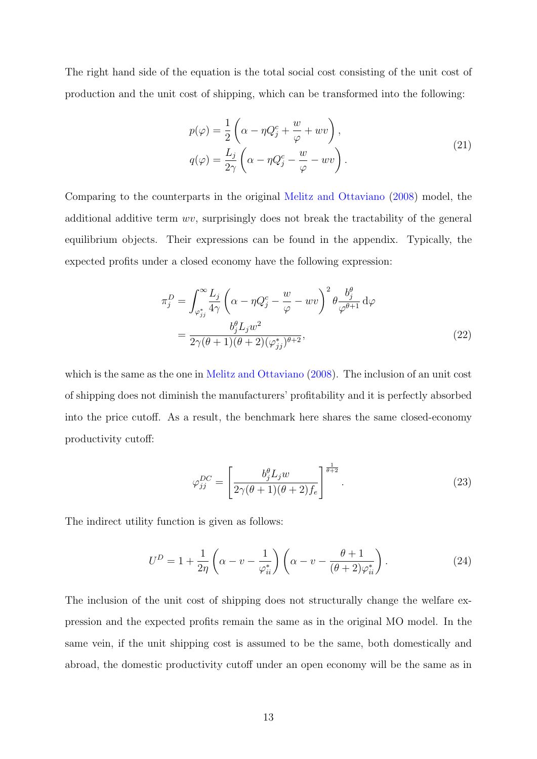The right hand side of the equation is the total social cost consisting of the unit cost of production and the unit cost of shipping, which can be transformed into the following:

$$
p(\varphi) = \frac{1}{2} \left( \alpha - \eta Q_j^c + \frac{w}{\varphi} + wv \right),
$$
  
\n
$$
q(\varphi) = \frac{L_j}{2\gamma} \left( \alpha - \eta Q_j^c - \frac{w}{\varphi} - wv \right).
$$
\n(21)

Comparing to the counterparts in the original [Melitz and Ottaviano](#page-27-3) [\(2008\)](#page-27-3) model, the additional additive term wv, surprisingly does not break the tractability of the general equilibrium objects. Their expressions can be found in the appendix. Typically, the expected profits under a closed economy have the following expression:

$$
\pi_j^D = \int_{\varphi_{jj}^*}^{\infty} \frac{L_j}{4\gamma} \left( \alpha - \eta Q_j^c - \frac{w}{\varphi} - wv \right)^2 \theta \frac{b_j^{\theta}}{\varphi^{\theta+1}} d\varphi
$$
  
= 
$$
\frac{b_j^{\theta} L_j w^2}{2\gamma(\theta+1)(\theta+2)(\varphi_{jj}^*)^{\theta+2}},
$$
(22)

which is the same as the one in [Melitz and Ottaviano](#page-27-3) [\(2008\)](#page-27-3). The inclusion of an unit cost of shipping does not diminish the manufacturers' profitability and it is perfectly absorbed into the price cutoff. As a result, the benchmark here shares the same closed-economy productivity cutoff:

$$
\varphi_{jj}^{DC} = \left[\frac{b_j^{\theta} L_j w}{2\gamma(\theta+1)(\theta+2)f_e}\right]^{\frac{1}{\theta+2}}.\tag{23}
$$

The indirect utility function is given as follows:

$$
U^{D} = 1 + \frac{1}{2\eta} \left( \alpha - v - \frac{1}{\varphi_{ii}^{*}} \right) \left( \alpha - v - \frac{\theta + 1}{(\theta + 2)\varphi_{ii}^{*}} \right). \tag{24}
$$

The inclusion of the unit cost of shipping does not structurally change the welfare expression and the expected profits remain the same as in the original MO model. In the same vein, if the unit shipping cost is assumed to be the same, both domestically and abroad, the domestic productivity cutoff under an open economy will be the same as in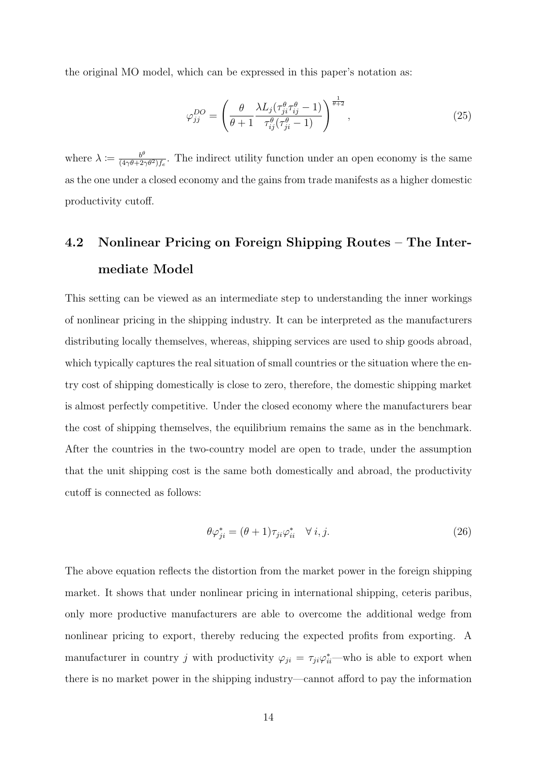the original MO model, which can be expressed in this paper's notation as:

$$
\varphi_{jj}^{DO} = \left(\frac{\theta}{\theta+1} \frac{\lambda L_j(\tau_{ji}^{\theta} \tau_{ij}^{\theta}-1)}{\tau_{ij}^{\theta}(\tau_{ji}^{\theta}-1)}\right)^{\frac{1}{\theta+2}},\tag{25}
$$

where  $\lambda \coloneqq \frac{b^{\theta}}{(4\alpha\theta + 2\alpha)}$  $\frac{b^{\nu}}{(4\gamma\theta+2\gamma\theta^2)f_e}$ . The indirect utility function under an open economy is the same as the one under a closed economy and the gains from trade manifests as a higher domestic productivity cutoff.

# 4.2 Nonlinear Pricing on Foreign Shipping Routes – The Intermediate Model

This setting can be viewed as an intermediate step to understanding the inner workings of nonlinear pricing in the shipping industry. It can be interpreted as the manufacturers distributing locally themselves, whereas, shipping services are used to ship goods abroad, which typically captures the real situation of small countries or the situation where the entry cost of shipping domestically is close to zero, therefore, the domestic shipping market is almost perfectly competitive. Under the closed economy where the manufacturers bear the cost of shipping themselves, the equilibrium remains the same as in the benchmark. After the countries in the two-country model are open to trade, under the assumption that the unit shipping cost is the same both domestically and abroad, the productivity cutoff is connected as follows:

<span id="page-15-0"></span>
$$
\theta \varphi_{ji}^* = (\theta + 1)\tau_{ji}\varphi_{ii}^* \quad \forall \ i, j. \tag{26}
$$

The above equation reflects the distortion from the market power in the foreign shipping market. It shows that under nonlinear pricing in international shipping, ceteris paribus, only more productive manufacturers are able to overcome the additional wedge from nonlinear pricing to export, thereby reducing the expected profits from exporting. A manufacturer in country j with productivity  $\varphi_{ji} = \tau_{ji} \varphi_{ii}^*$  who is able to export when there is no market power in the shipping industry—cannot afford to pay the information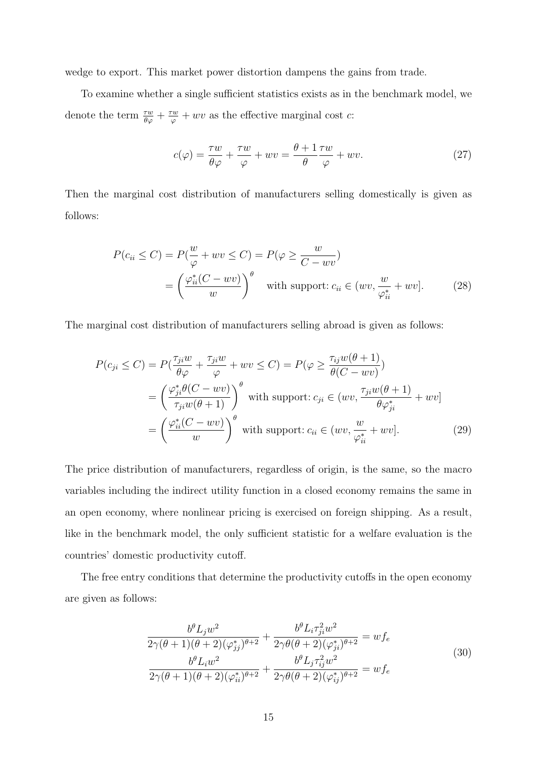wedge to export. This market power distortion dampens the gains from trade.

To examine whether a single sufficient statistics exists as in the benchmark model, we denote the term  $\frac{\tau w}{\theta \varphi} + \frac{\tau w}{\varphi} + wv$  as the effective marginal cost c:

$$
c(\varphi) = \frac{\tau w}{\theta \varphi} + \frac{\tau w}{\varphi} + wv = \frac{\theta + 1}{\theta} \frac{\tau w}{\varphi} + wv.
$$
 (27)

Then the marginal cost distribution of manufacturers selling domestically is given as follows:

$$
P(c_{ii} \le C) = P(\frac{w}{\varphi} + wv \le C) = P(\varphi \ge \frac{w}{C - wv})
$$
  
= 
$$
\left(\frac{\varphi_{ii}^*(C - wv)}{w}\right)^{\theta} \text{ with support: } c_{ii} \in (wv, \frac{w}{\varphi_{ii}^*} + wv].
$$
 (28)

The marginal cost distribution of manufacturers selling abroad is given as follows:

$$
P(c_{ji} \le C) = P\left(\frac{\tau_{ji}w}{\theta\varphi} + \frac{\tau_{ji}w}{\varphi} + wv \le C\right) = P(\varphi \ge \frac{\tau_{ij}w(\theta + 1)}{\theta(C - wv)})
$$
  
\n
$$
= \left(\frac{\varphi_{ji}^*\theta(C - wv)}{\tau_{ji}w(\theta + 1)}\right)^{\theta} \text{ with support: } c_{ji} \in (wv, \frac{\tau_{ji}w(\theta + 1)}{\theta\varphi_{ji}^*} + wv]
$$
  
\n
$$
= \left(\frac{\varphi_{ii}^*(C - wv)}{w}\right)^{\theta} \text{ with support: } c_{ii} \in (wv, \frac{w}{\varphi_{ii}^*} + wv].
$$
 (29)

The price distribution of manufacturers, regardless of origin, is the same, so the macro variables including the indirect utility function in a closed economy remains the same in an open economy, where nonlinear pricing is exercised on foreign shipping. As a result, like in the benchmark model, the only sufficient statistic for a welfare evaluation is the countries' domestic productivity cutoff.

The free entry conditions that determine the productivity cutoffs in the open economy are given as follows:

$$
\frac{b^{\theta}L_{j}w^{2}}{2\gamma(\theta+1)(\theta+2)(\varphi_{jj}^{*})^{\theta+2}} + \frac{b^{\theta}L_{i}\tau_{ji}^{2}w^{2}}{2\gamma(\theta+2)(\varphi_{ji}^{*})^{\theta+2}} = wf_{e}
$$
\n
$$
\frac{b^{\theta}L_{i}w^{2}}{2\gamma(\theta+1)(\theta+2)(\varphi_{ii}^{*})^{\theta+2}} + \frac{b^{\theta}L_{j}\tau_{ij}^{2}w^{2}}{2\gamma(\theta+2)(\varphi_{ij}^{*})^{\theta+2}} = wf_{e}
$$
\n(30)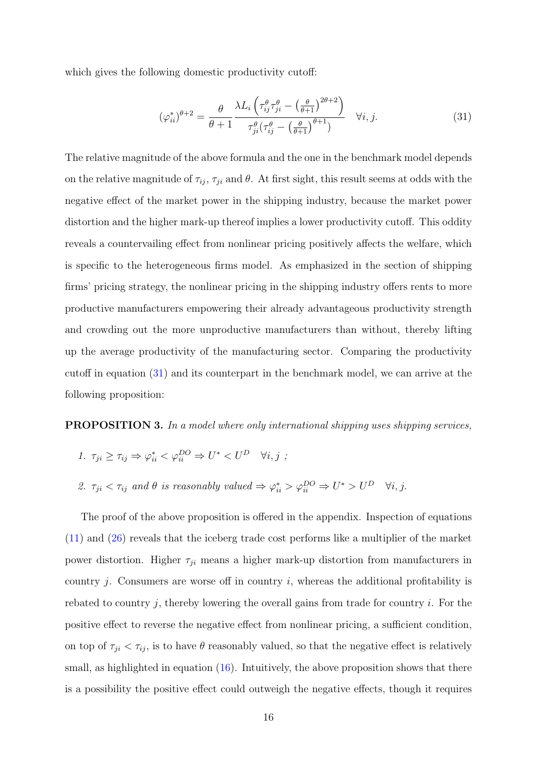which gives the following domestic productivity cutoff:

<span id="page-17-0"></span>
$$
(\varphi_{ii}^*)^{\theta+2} = \frac{\theta}{\theta+1} \frac{\lambda L_i \left(\tau_{ij}^{\theta} \tau_{ji}^{\theta} - \left(\frac{\theta}{\theta+1}\right)^{2\theta+2}\right)}{\tau_{ji}^{\theta} \left(\tau_{ij}^{\theta} - \left(\frac{\theta}{\theta+1}\right)^{\theta+1}\right)} \quad \forall i, j.
$$
 (31)

The relative magnitude of the above formula and the one in the benchmark model depends on the relative magnitude of  $\tau_{ij}$ ,  $\tau_{ji}$  and  $\theta$ . At first sight, this result seems at odds with the negative effect of the market power in the shipping industry, because the market power distortion and the higher mark-up thereof implies a lower productivity cutoff. This oddity reveals a countervailing effect from nonlinear pricing positively affects the welfare, which is specific to the heterogeneous firms model. As emphasized in the section of shipping firms' pricing strategy, the nonlinear pricing in the shipping industry offers rents to more productive manufacturers empowering their already advantageous productivity strength and crowding out the more unproductive manufacturers than without, thereby lifting up the average productivity of the manufacturing sector. Comparing the productivity cutoff in equation [\(31\)](#page-17-0) and its counterpart in the benchmark model, we can arrive at the following proposition:

#### <span id="page-17-1"></span>**PROPOSITION 3.** In a model where only international shipping uses shipping services,

- 1.  $\tau_{ji} \geq \tau_{ij} \Rightarrow \varphi_{ii}^* \lt \varphi_{ii}^{DO} \Rightarrow U^* \lt U^D \quad \forall i, j$ ;
- 2.  $\tau_{ji} < \tau_{ij}$  and  $\theta$  is reasonably valued  $\Rightarrow \varphi_{ii}^* > \varphi_{ii}^{DO} \Rightarrow U^* > U^D \quad \forall i, j$ .

The proof of the above proposition is offered in the appendix. Inspection of equations [\(11\)](#page-9-1) and [\(26\)](#page-15-0) reveals that the iceberg trade cost performs like a multiplier of the market power distortion. Higher  $\tau_{ji}$  means a higher mark-up distortion from manufacturers in country j. Consumers are worse off in country i, whereas the additional profitability is rebated to country  $j$ , thereby lowering the overall gains from trade for country  $i$ . For the positive effect to reverse the negative effect from nonlinear pricing, a sufficient condition, on top of  $\tau_{ji} < \tau_{ij}$ , is to have  $\theta$  reasonably valued, so that the negative effect is relatively small, as highlighted in equation  $(16)$ . Intuitively, the above proposition shows that there is a possibility the positive effect could outweigh the negative effects, though it requires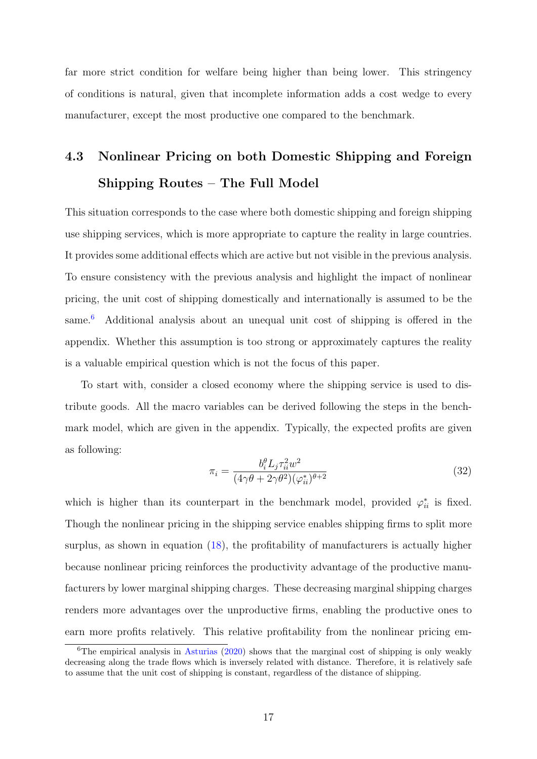far more strict condition for welfare being higher than being lower. This stringency of conditions is natural, given that incomplete information adds a cost wedge to every manufacturer, except the most productive one compared to the benchmark.

# 4.3 Nonlinear Pricing on both Domestic Shipping and Foreign Shipping Routes – The Full Model

This situation corresponds to the case where both domestic shipping and foreign shipping use shipping services, which is more appropriate to capture the reality in large countries. It provides some additional effects which are active but not visible in the previous analysis. To ensure consistency with the previous analysis and highlight the impact of nonlinear pricing, the unit cost of shipping domestically and internationally is assumed to be the same.<sup>[6](#page-18-0)</sup> Additional analysis about an unequal unit cost of shipping is offered in the appendix. Whether this assumption is too strong or approximately captures the reality is a valuable empirical question which is not the focus of this paper.

To start with, consider a closed economy where the shipping service is used to distribute goods. All the macro variables can be derived following the steps in the benchmark model, which are given in the appendix. Typically, the expected profits are given as following:

$$
\pi_i = \frac{b_i^{\theta} L_j \tau_{ii}^2 w^2}{(4\gamma \theta + 2\gamma \theta^2)(\varphi_{ii}^*)^{\theta+2}}
$$
\n(32)

which is higher than its counterpart in the benchmark model, provided  $\varphi_{ii}^*$  is fixed. Though the nonlinear pricing in the shipping service enables shipping firms to split more surplus, as shown in equation [\(18\)](#page-11-2), the profitability of manufacturers is actually higher because nonlinear pricing reinforces the productivity advantage of the productive manufacturers by lower marginal shipping charges. These decreasing marginal shipping charges renders more advantages over the unproductive firms, enabling the productive ones to earn more profits relatively. This relative profitability from the nonlinear pricing em-

<span id="page-18-0"></span><sup>&</sup>lt;sup>6</sup>The empirical analysis in [Asturias](#page-26-8)  $(2020)$  shows that the marginal cost of shipping is only weakly decreasing along the trade flows which is inversely related with distance. Therefore, it is relatively safe to assume that the unit cost of shipping is constant, regardless of the distance of shipping.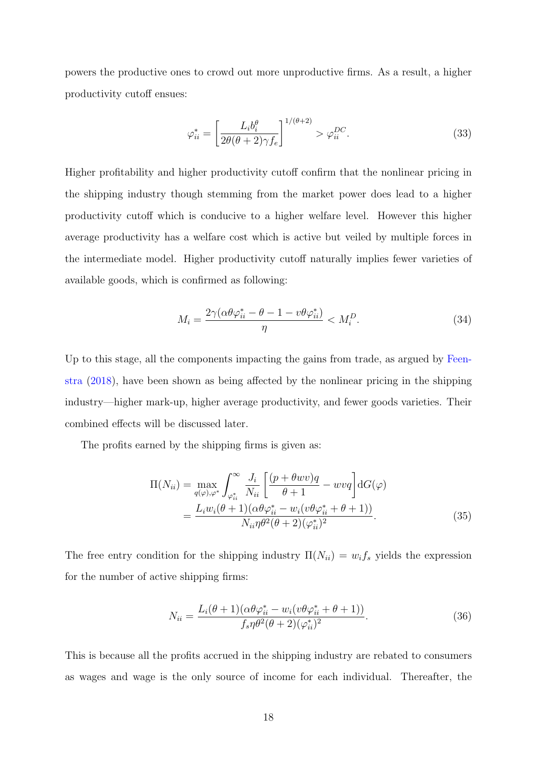powers the productive ones to crowd out more unproductive firms. As a result, a higher productivity cutoff ensues:

$$
\varphi_{ii}^* = \left[\frac{L_i b_i^{\theta}}{2\theta(\theta + 2)\gamma f_e}\right]^{1/(\theta + 2)} > \varphi_{ii}^{DC}.
$$
\n(33)

Higher profitability and higher productivity cutoff confirm that the nonlinear pricing in the shipping industry though stemming from the market power does lead to a higher productivity cutoff which is conducive to a higher welfare level. However this higher average productivity has a welfare cost which is active but veiled by multiple forces in the intermediate model. Higher productivity cutoff naturally implies fewer varieties of available goods, which is confirmed as following:

$$
M_i = \frac{2\gamma(\alpha\theta\varphi_{ii}^* - \theta - 1 - v\theta\varphi_{ii}^*)}{\eta} < M_i^D. \tag{34}
$$

Up to this stage, all the components impacting the gains from trade, as argued by [Feen](#page-26-10)[stra](#page-26-10) [\(2018\)](#page-26-10), have been shown as being affected by the nonlinear pricing in the shipping industry—higher mark-up, higher average productivity, and fewer goods varieties. Their combined effects will be discussed later.

The profits earned by the shipping firms is given as:

$$
\Pi(N_{ii}) = \max_{q(\varphi), \varphi^*} \int_{\varphi_{ii}^*}^{\infty} \frac{J_i}{N_{ii}} \left[ \frac{(p + \theta w v)q}{\theta + 1} - w v q \right] dG(\varphi)
$$

$$
= \frac{L_i w_i(\theta + 1)(\alpha \theta \varphi_{ii}^* - w_i (v \theta \varphi_{ii}^* + \theta + 1))}{N_{ii} \eta \theta^2 (\theta + 2)(\varphi_{ii}^*)^2}.
$$
(35)

The free entry condition for the shipping industry  $\Pi(N_{ii}) = w_i f_s$  yields the expression for the number of active shipping firms:

$$
N_{ii} = \frac{L_i(\theta + 1)(\alpha \theta \varphi_{ii}^* - w_i(v \theta \varphi_{ii}^* + \theta + 1))}{f_s \eta \theta^2 (\theta + 2)(\varphi_{ii}^*)^2}.
$$
\n(36)

This is because all the profits accrued in the shipping industry are rebated to consumers as wages and wage is the only source of income for each individual. Thereafter, the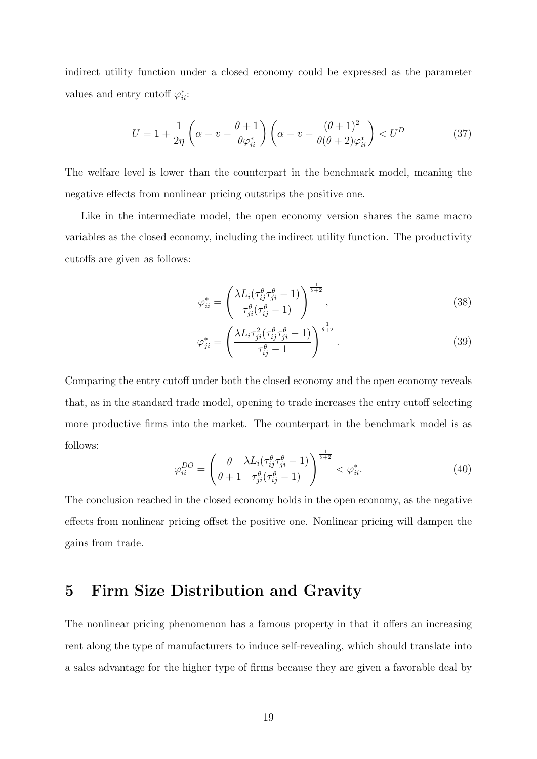indirect utility function under a closed economy could be expressed as the parameter values and entry cutoff  $\varphi_{ii}^*$ :

$$
U = 1 + \frac{1}{2\eta} \left( \alpha - v - \frac{\theta + 1}{\theta \varphi_{ii}^*} \right) \left( \alpha - v - \frac{(\theta + 1)^2}{\theta(\theta + 2)\varphi_{ii}^*} \right) < U^D \tag{37}
$$

The welfare level is lower than the counterpart in the benchmark model, meaning the negative effects from nonlinear pricing outstrips the positive one.

Like in the intermediate model, the open economy version shares the same macro variables as the closed economy, including the indirect utility function. The productivity cutoffs are given as follows:

$$
\varphi_{ii}^* = \left(\frac{\lambda L_i(\tau_{ij}^\theta \tau_{ji}^\theta - 1)}{\tau_{ji}^\theta(\tau_{ij}^\theta - 1)}\right)^{\frac{1}{\theta + 2}},\tag{38}
$$

<span id="page-20-0"></span>
$$
\varphi_{ji}^* = \left(\frac{\lambda L_i \tau_{ji}^2 (\tau_{ij}^\theta \tau_{ji}^\theta - 1)}{\tau_{ij}^\theta - 1}\right)^{\frac{1}{\theta + 2}}.
$$
\n(39)

Comparing the entry cutoff under both the closed economy and the open economy reveals that, as in the standard trade model, opening to trade increases the entry cutoff selecting more productive firms into the market. The counterpart in the benchmark model is as follows:

$$
\varphi_{ii}^{DO} = \left(\frac{\theta}{\theta+1} \frac{\lambda L_i(\tau_{ij}^{\theta} \tau_{ji}^{\theta}-1)}{\tau_{ji}^{\theta}(\tau_{ij}^{\theta}-1)}\right)^{\frac{1}{\theta+2}} < \varphi_{ii}^*.
$$
\n(40)

The conclusion reached in the closed economy holds in the open economy, as the negative effects from nonlinear pricing offset the positive one. Nonlinear pricing will dampen the gains from trade.

#### 5 Firm Size Distribution and Gravity

The nonlinear pricing phenomenon has a famous property in that it offers an increasing rent along the type of manufacturers to induce self-revealing, which should translate into a sales advantage for the higher type of firms because they are given a favorable deal by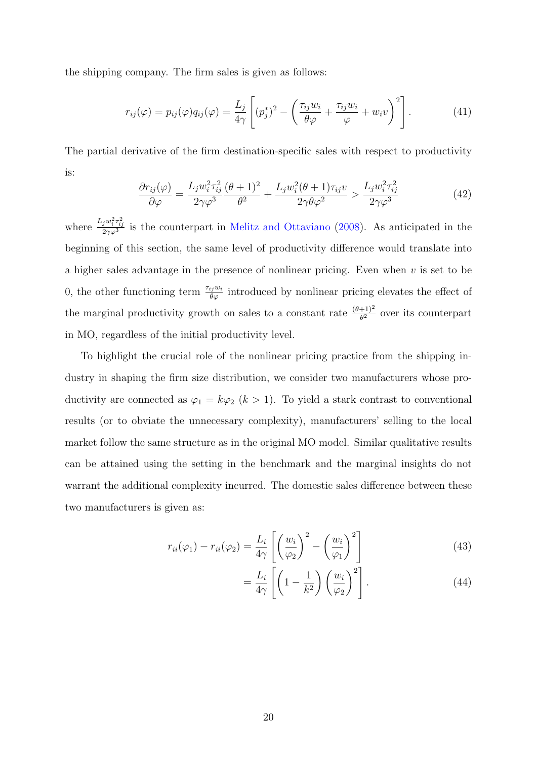the shipping company. The firm sales is given as follows:

$$
r_{ij}(\varphi) = p_{ij}(\varphi)q_{ij}(\varphi) = \frac{L_j}{4\gamma} \left[ (p_j^*)^2 - \left( \frac{\tau_{ij}w_i}{\theta\varphi} + \frac{\tau_{ij}w_i}{\varphi} + w_i v \right)^2 \right]. \tag{41}
$$

The partial derivative of the firm destination-specific sales with respect to productivity is:

$$
\frac{\partial r_{ij}(\varphi)}{\partial \varphi} = \frac{L_j w_i^2 \tau_{ij}^2}{2\gamma \varphi^3} \frac{(\theta + 1)^2}{\theta^2} + \frac{L_j w_i^2 (\theta + 1) \tau_{ij} v}{2\gamma \theta \varphi^2} > \frac{L_j w_i^2 \tau_{ij}^2}{2\gamma \varphi^3}
$$
(42)

where  $\frac{L_jw_i^2\tau_{ij}^2}{2\gamma\varphi^3}$  is the counterpart in [Melitz and Ottaviano](#page-27-3) [\(2008\)](#page-27-3). As anticipated in the beginning of this section, the same level of productivity difference would translate into a higher sales advantage in the presence of nonlinear pricing. Even when  $v$  is set to be 0, the other functioning term  $\frac{\tau_{ij}w_i}{\theta\varphi}$  introduced by nonlinear pricing elevates the effect of the marginal productivity growth on sales to a constant rate  $\frac{(\theta+1)^2}{\theta^2}$  over its counterpart in MO, regardless of the initial productivity level.

To highlight the crucial role of the nonlinear pricing practice from the shipping industry in shaping the firm size distribution, we consider two manufacturers whose productivity are connected as  $\varphi_1 = k\varphi_2$   $(k > 1)$ . To yield a stark contrast to conventional results (or to obviate the unnecessary complexity), manufacturers' selling to the local market follow the same structure as in the original MO model. Similar qualitative results can be attained using the setting in the benchmark and the marginal insights do not warrant the additional complexity incurred. The domestic sales difference between these two manufacturers is given as:

$$
r_{ii}(\varphi_1) - r_{ii}(\varphi_2) = \frac{L_i}{4\gamma} \left[ \left( \frac{w_i}{\varphi_2} \right)^2 - \left( \frac{w_i}{\varphi_1} \right)^2 \right]
$$
(43)

$$
=\frac{L_i}{4\gamma}\left[\left(1-\frac{1}{k^2}\right)\left(\frac{w_i}{\varphi_2}\right)^2\right].\tag{44}
$$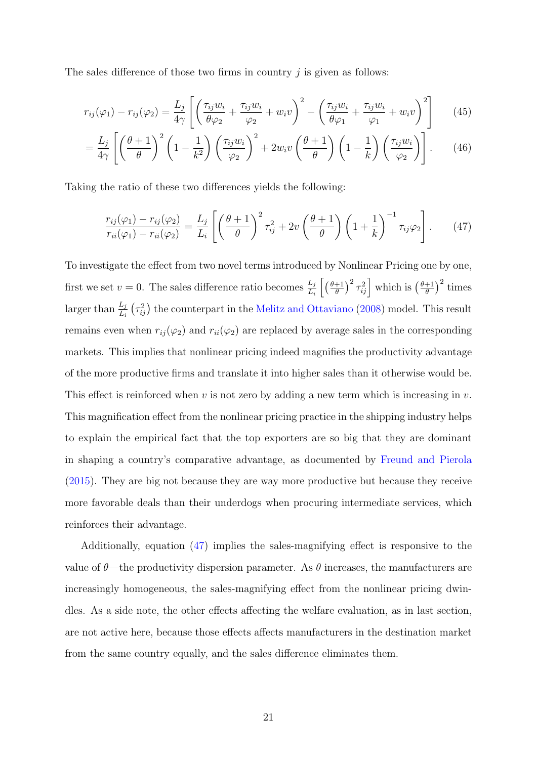The sales difference of those two firms in country  $\dot{\eta}$  is given as follows:

$$
r_{ij}(\varphi_1) - r_{ij}(\varphi_2) = \frac{L_j}{4\gamma} \left[ \left( \frac{\tau_{ij}w_i}{\theta \varphi_2} + \frac{\tau_{ij}w_i}{\varphi_2} + w_i v \right)^2 - \left( \frac{\tau_{ij}w_i}{\theta \varphi_1} + \frac{\tau_{ij}w_i}{\varphi_1} + w_i v \right)^2 \right] \tag{45}
$$

$$
= \frac{L_j}{4\gamma} \left[ \left( \frac{\theta + 1}{\theta} \right)^2 \left( 1 - \frac{1}{k^2} \right) \left( \frac{\tau_{ij} w_i}{\varphi_2} \right)^2 + 2 w_i v \left( \frac{\theta + 1}{\theta} \right) \left( 1 - \frac{1}{k} \right) \left( \frac{\tau_{ij} w_i}{\varphi_2} \right) \right].
$$
 (46)

Taking the ratio of these two differences yields the following:

<span id="page-22-0"></span>
$$
\frac{r_{ij}(\varphi_1) - r_{ij}(\varphi_2)}{r_{ii}(\varphi_1) - r_{ii}(\varphi_2)} = \frac{L_j}{L_i} \left[ \left( \frac{\theta + 1}{\theta} \right)^2 \tau_{ij}^2 + 2v \left( \frac{\theta + 1}{\theta} \right) \left( 1 + \frac{1}{k} \right)^{-1} \tau_{ij} \varphi_2 \right].
$$
 (47)

To investigate the effect from two novel terms introduced by Nonlinear Pricing one by one, first we set  $v = 0$ . The sales difference ratio becomes  $\frac{L_j}{L_i} \left[ \left( \frac{\theta + 1}{\theta} \right)$  $\left(\frac{\theta+1}{\theta}\right)^2 \tau_{ij}^2$  which is  $\left(\frac{\theta+1}{\theta}\right)$  $\frac{+1}{\theta}$ )<sup>2</sup> times larger than  $\frac{L_j}{L_i}$  ( $\tau_{ij}^2$ ) the counterpart in the [Melitz and Ottaviano](#page-27-3) [\(2008\)](#page-27-3) model. This result remains even when  $r_{ij}(\varphi_2)$  and  $r_{ii}(\varphi_2)$  are replaced by average sales in the corresponding markets. This implies that nonlinear pricing indeed magnifies the productivity advantage of the more productive firms and translate it into higher sales than it otherwise would be. This effect is reinforced when v is not zero by adding a new term which is increasing in v. This magnification effect from the nonlinear pricing practice in the shipping industry helps to explain the empirical fact that the top exporters are so big that they are dominant in shaping a country's comparative advantage, as documented by [Freund and Pierola](#page-27-6) [\(2015\)](#page-27-6). They are big not because they are way more productive but because they receive more favorable deals than their underdogs when procuring intermediate services, which reinforces their advantage.

Additionally, equation [\(47\)](#page-22-0) implies the sales-magnifying effect is responsive to the value of  $\theta$ —the productivity dispersion parameter. As  $\theta$  increases, the manufacturers are increasingly homogeneous, the sales-magnifying effect from the nonlinear pricing dwindles. As a side note, the other effects affecting the welfare evaluation, as in last section, are not active here, because those effects affects manufacturers in the destination market from the same country equally, and the sales difference eliminates them.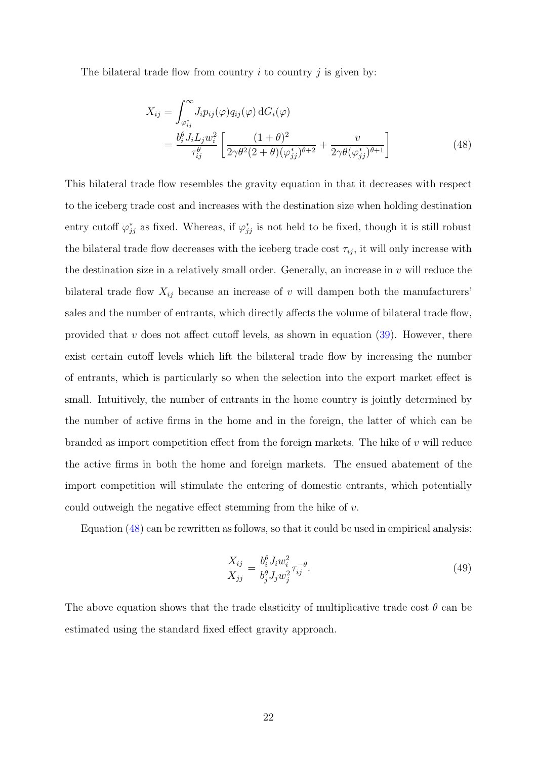The bilateral trade flow from country  $i$  to country  $j$  is given by:

<span id="page-23-0"></span>
$$
X_{ij} = \int_{\varphi_{ij}^*}^{\infty} J_i p_{ij}(\varphi) q_{ij}(\varphi) dG_i(\varphi)
$$
  
= 
$$
\frac{b_i^{\theta} J_i L_j w_i^2}{\tau_{ij}^{\theta}} \left[ \frac{(1+\theta)^2}{2\gamma \theta^2 (2+\theta)(\varphi_{jj}^*)^{\theta+2}} + \frac{v}{2\gamma \theta(\varphi_{jj}^*)^{\theta+1}} \right]
$$
(48)

This bilateral trade flow resembles the gravity equation in that it decreases with respect to the iceberg trade cost and increases with the destination size when holding destination entry cutoff  $\varphi_{jj}^*$  as fixed. Whereas, if  $\varphi_{jj}^*$  is not held to be fixed, though it is still robust the bilateral trade flow decreases with the iceberg trade cost  $\tau_{ij}$ , it will only increase with the destination size in a relatively small order. Generally, an increase in  $v$  will reduce the bilateral trade flow  $X_{ij}$  because an increase of v will dampen both the manufacturers' sales and the number of entrants, which directly affects the volume of bilateral trade flow, provided that  $v$  does not affect cutoff levels, as shown in equation  $(39)$ . However, there exist certain cutoff levels which lift the bilateral trade flow by increasing the number of entrants, which is particularly so when the selection into the export market effect is small. Intuitively, the number of entrants in the home country is jointly determined by the number of active firms in the home and in the foreign, the latter of which can be branded as import competition effect from the foreign markets. The hike of  $v$  will reduce the active firms in both the home and foreign markets. The ensued abatement of the import competition will stimulate the entering of domestic entrants, which potentially could outweigh the negative effect stemming from the hike of v.

Equation [\(48\)](#page-23-0) can be rewritten as follows, so that it could be used in empirical analysis:

$$
\frac{X_{ij}}{X_{jj}} = \frac{b_i^{\theta} J_i w_i^2}{b_j^{\theta} J_j w_j^2} \tau_{ij}^{-\theta}.
$$
\n(49)

The above equation shows that the trade elasticity of multiplicative trade cost  $\theta$  can be estimated using the standard fixed effect gravity approach.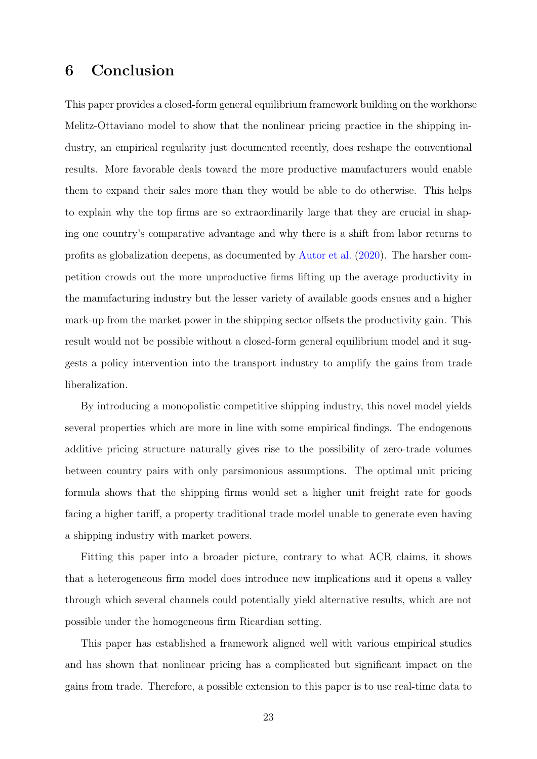## 6 Conclusion

This paper provides a closed-form general equilibrium framework building on the workhorse Melitz-Ottaviano model to show that the nonlinear pricing practice in the shipping industry, an empirical regularity just documented recently, does reshape the conventional results. More favorable deals toward the more productive manufacturers would enable them to expand their sales more than they would be able to do otherwise. This helps to explain why the top firms are so extraordinarily large that they are crucial in shaping one country's comparative advantage and why there is a shift from labor returns to profits as globalization deepens, as documented by [Autor et al.](#page-26-6) [\(2020\)](#page-26-6). The harsher competition crowds out the more unproductive firms lifting up the average productivity in the manufacturing industry but the lesser variety of available goods ensues and a higher mark-up from the market power in the shipping sector offsets the productivity gain. This result would not be possible without a closed-form general equilibrium model and it suggests a policy intervention into the transport industry to amplify the gains from trade liberalization.

By introducing a monopolistic competitive shipping industry, this novel model yields several properties which are more in line with some empirical findings. The endogenous additive pricing structure naturally gives rise to the possibility of zero-trade volumes between country pairs with only parsimonious assumptions. The optimal unit pricing formula shows that the shipping firms would set a higher unit freight rate for goods facing a higher tariff, a property traditional trade model unable to generate even having a shipping industry with market powers.

Fitting this paper into a broader picture, contrary to what ACR claims, it shows that a heterogeneous firm model does introduce new implications and it opens a valley through which several channels could potentially yield alternative results, which are not possible under the homogeneous firm Ricardian setting.

This paper has established a framework aligned well with various empirical studies and has shown that nonlinear pricing has a complicated but significant impact on the gains from trade. Therefore, a possible extension to this paper is to use real-time data to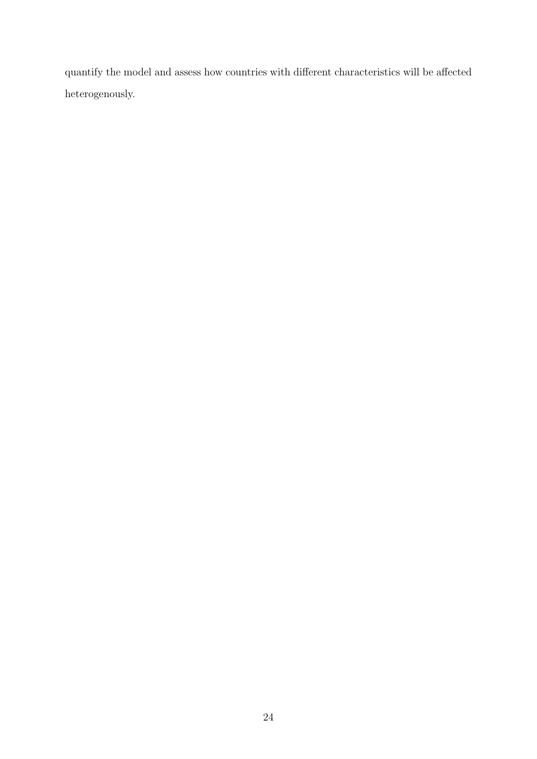quantify the model and assess how countries with different characteristics will be affected heterogenously.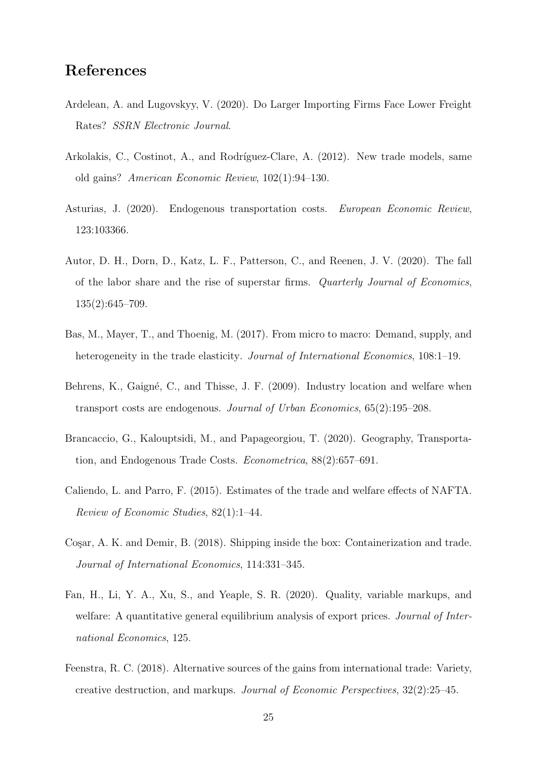## References

- <span id="page-26-0"></span>Ardelean, A. and Lugovskyy, V. (2020). Do Larger Importing Firms Face Lower Freight Rates? SSRN Electronic Journal.
- <span id="page-26-1"></span>Arkolakis, C., Costinot, A., and Rodríguez-Clare, A. (2012). New trade models, same old gains? American Economic Review, 102(1):94–130.
- <span id="page-26-8"></span>Asturias, J. (2020). Endogenous transportation costs. European Economic Review, 123:103366.
- <span id="page-26-6"></span>Autor, D. H., Dorn, D., Katz, L. F., Patterson, C., and Reenen, J. V. (2020). The fall of the labor share and the rise of superstar firms. Quarterly Journal of Economics, 135(2):645–709.
- <span id="page-26-2"></span>Bas, M., Mayer, T., and Thoenig, M. (2017). From micro to macro: Demand, supply, and heterogeneity in the trade elasticity. *Journal of International Economics*, 108:1–19.
- <span id="page-26-9"></span>Behrens, K., Gaigné, C., and Thisse, J. F. (2009). Industry location and welfare when transport costs are endogenous. Journal of Urban Economics, 65(2):195–208.
- <span id="page-26-7"></span>Brancaccio, G., Kalouptsidi, M., and Papageorgiou, T. (2020). Geography, Transportation, and Endogenous Trade Costs. Econometrica, 88(2):657–691.
- <span id="page-26-3"></span>Caliendo, L. and Parro, F. (2015). Estimates of the trade and welfare effects of NAFTA. Review of Economic Studies, 82(1):1–44.
- <span id="page-26-4"></span>Cosar, A. K. and Demir, B. (2018). Shipping inside the box: Containerization and trade. Journal of International Economics, 114:331–345.
- <span id="page-26-5"></span>Fan, H., Li, Y. A., Xu, S., and Yeaple, S. R. (2020). Quality, variable markups, and welfare: A quantitative general equilibrium analysis of export prices. *Journal of Inter*national Economics, 125.
- <span id="page-26-10"></span>Feenstra, R. C. (2018). Alternative sources of the gains from international trade: Variety, creative destruction, and markups. Journal of Economic Perspectives, 32(2):25–45.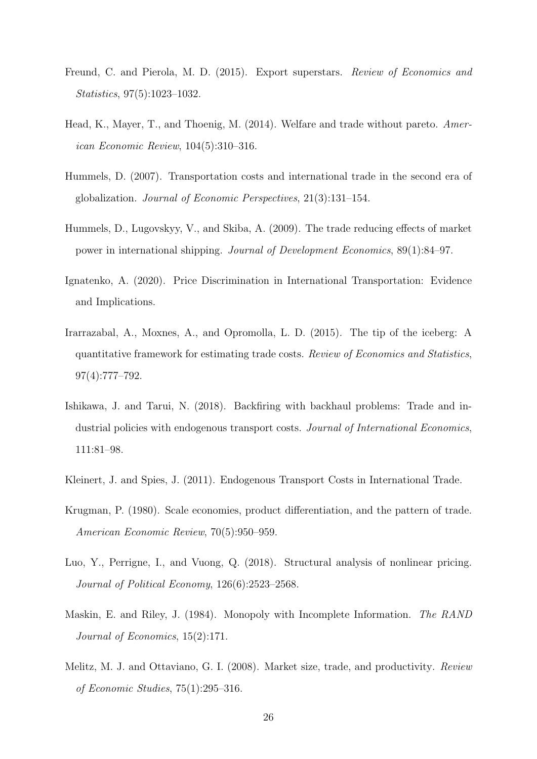- <span id="page-27-6"></span>Freund, C. and Pierola, M. D. (2015). Export superstars. Review of Economics and Statistics, 97(5):1023–1032.
- <span id="page-27-4"></span>Head, K., Mayer, T., and Thoenig, M. (2014). Welfare and trade without pareto. American Economic Review, 104(5):310–316.
- <span id="page-27-2"></span>Hummels, D. (2007). Transportation costs and international trade in the second era of globalization. Journal of Economic Perspectives, 21(3):131–154.
- <span id="page-27-0"></span>Hummels, D., Lugovskyy, V., and Skiba, A. (2009). The trade reducing effects of market power in international shipping. Journal of Development Economics, 89(1):84–97.
- <span id="page-27-1"></span>Ignatenko, A. (2020). Price Discrimination in International Transportation: Evidence and Implications.
- <span id="page-27-5"></span>Irarrazabal, A., Moxnes, A., and Opromolla, L. D. (2015). The tip of the iceberg: A quantitative framework for estimating trade costs. Review of Economics and Statistics, 97(4):777–792.
- <span id="page-27-7"></span>Ishikawa, J. and Tarui, N. (2018). Backfiring with backhaul problems: Trade and industrial policies with endogenous transport costs. Journal of International Economics, 111:81–98.
- <span id="page-27-8"></span>Kleinert, J. and Spies, J. (2011). Endogenous Transport Costs in International Trade.
- <span id="page-27-9"></span>Krugman, P. (1980). Scale economies, product differentiation, and the pattern of trade. American Economic Review, 70(5):950–959.
- <span id="page-27-10"></span>Luo, Y., Perrigne, I., and Vuong, Q. (2018). Structural analysis of nonlinear pricing. Journal of Political Economy, 126(6):2523–2568.
- <span id="page-27-11"></span>Maskin, E. and Riley, J. (1984). Monopoly with Incomplete Information. The RAND Journal of Economics, 15(2):171.
- <span id="page-27-3"></span>Melitz, M. J. and Ottaviano, G. I. (2008). Market size, trade, and productivity. Review of Economic Studies, 75(1):295–316.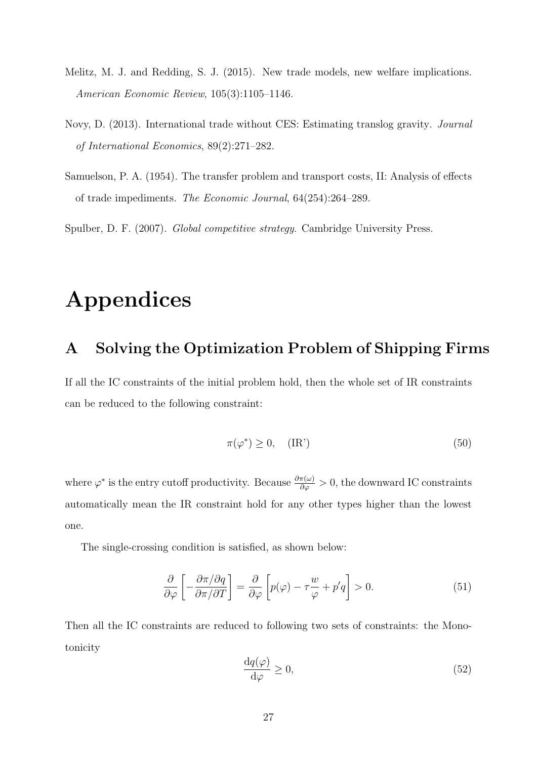- <span id="page-28-2"></span>Melitz, M. J. and Redding, S. J. (2015). New trade models, new welfare implications. American Economic Review, 105(3):1105–1146.
- <span id="page-28-3"></span>Novy, D. (2013). International trade without CES: Estimating translog gravity. Journal of International Economics, 89(2):271–282.
- <span id="page-28-0"></span>Samuelson, P. A. (1954). The transfer problem and transport costs, II: Analysis of effects of trade impediments. The Economic Journal, 64(254):264–289.

<span id="page-28-1"></span>Spulber, D. F. (2007). Global competitive strategy. Cambridge University Press.

# Appendices

#### A Solving the Optimization Problem of Shipping Firms

If all the IC constraints of the initial problem hold, then the whole set of IR constraints can be reduced to the following constraint:

$$
\pi(\varphi^*) \ge 0, \quad (\text{IR'}) \tag{50}
$$

where  $\varphi^*$  is the entry cutoff productivity. Because  $\frac{\partial \pi(\omega)}{\partial \varphi} > 0$ , the downward IC constraints automatically mean the IR constraint hold for any other types higher than the lowest one.

The single-crossing condition is satisfied, as shown below:

$$
\frac{\partial}{\partial \varphi} \left[ -\frac{\partial \pi / \partial q}{\partial \pi / \partial T} \right] = \frac{\partial}{\partial \varphi} \left[ p(\varphi) - \tau \frac{w}{\varphi} + p'q \right] > 0. \tag{51}
$$

Then all the IC constraints are reduced to following two sets of constraints: the Monotonicity

<span id="page-28-4"></span>
$$
\frac{\mathrm{d}q(\varphi)}{\mathrm{d}\varphi} \ge 0,\tag{52}
$$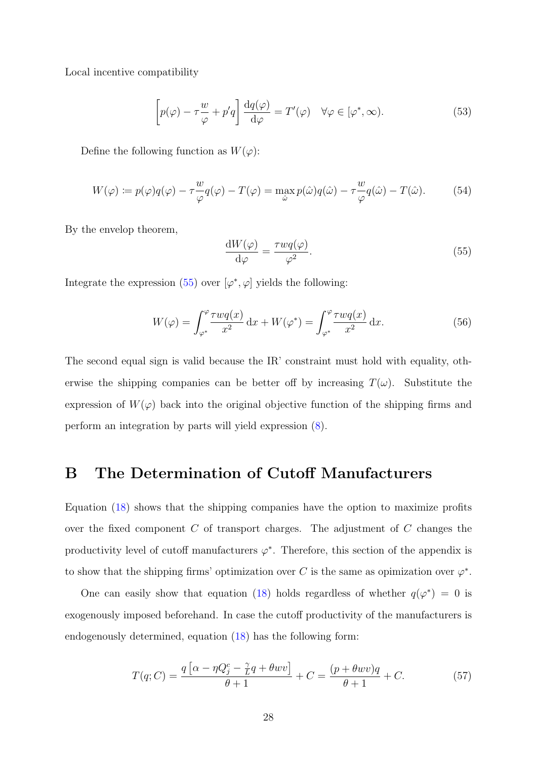Local incentive compatibility

<span id="page-29-1"></span>
$$
\left[p(\varphi) - \tau \frac{w}{\varphi} + p'q\right] \frac{dq(\varphi)}{d\varphi} = T'(\varphi) \quad \forall \varphi \in [\varphi^*, \infty). \tag{53}
$$

Define the following function as  $W(\varphi)$ :

$$
W(\varphi) := p(\varphi)q(\varphi) - \tau \frac{w}{\varphi}q(\varphi) - T(\varphi) = \max_{\hat{\omega}} p(\hat{\omega})q(\hat{\omega}) - \tau \frac{w}{\varphi}q(\hat{\omega}) - T(\hat{\omega}).
$$
 (54)

By the envelop theorem,

<span id="page-29-2"></span>
$$
\frac{\mathrm{d}W(\varphi)}{\mathrm{d}\varphi} = \frac{\tau w q(\varphi)}{\varphi^2}.\tag{55}
$$

Integrate the expression [\(55\)](#page-29-2) over  $[\varphi^*, \varphi]$  yields the following:

$$
W(\varphi) = \int_{\varphi^*}^{\varphi} \frac{\tau w q(x)}{x^2} dx + W(\varphi^*) = \int_{\varphi^*}^{\varphi} \frac{\tau w q(x)}{x^2} dx.
$$
 (56)

The second equal sign is valid because the IR' constraint must hold with equality, otherwise the shipping companies can be better off by increasing  $T(\omega)$ . Substitute the expression of  $W(\varphi)$  back into the original objective function of the shipping firms and perform an integration by parts will yield expression [\(8\)](#page-8-0).

#### <span id="page-29-0"></span>B The Determination of Cutoff Manufacturers

Equation [\(18\)](#page-11-2) shows that the shipping companies have the option to maximize profits over the fixed component  $C$  of transport charges. The adjustment of  $C$  changes the productivity level of cutoff manufacturers  $\varphi^*$ . Therefore, this section of the appendix is to show that the shipping firms' optimization over C is the same as opimization over  $\varphi^*$ .

One can easily show that equation [\(18\)](#page-11-2) holds regardless of whether  $q(\varphi^*) = 0$  is exogenously imposed beforehand. In case the cutoff productivity of the manufacturers is endogenously determined, equation [\(18\)](#page-11-2) has the following form:

<span id="page-29-3"></span>
$$
T(q;C) = \frac{q\left[\alpha - \eta Q_j^c - \frac{\gamma}{L}q + \theta wv\right]}{\theta + 1} + C = \frac{(p + \theta wv)q}{\theta + 1} + C.
$$
 (57)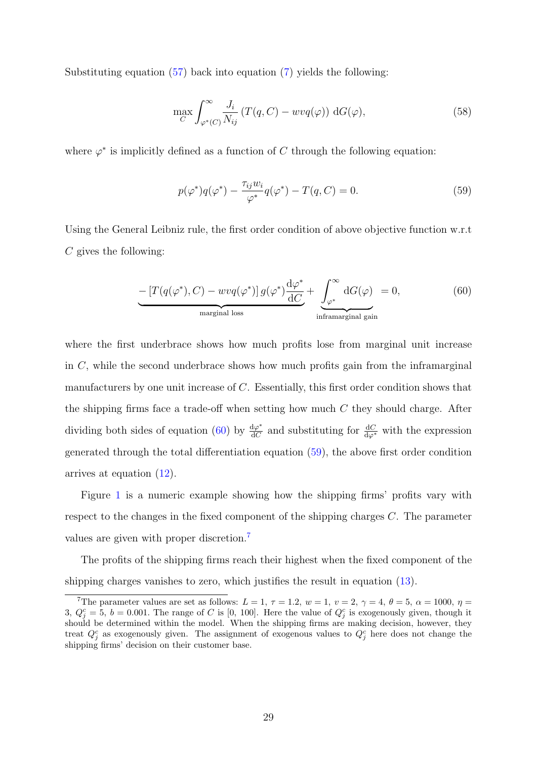Substituting equation [\(57\)](#page-29-3) back into equation [\(7\)](#page-8-2) yields the following:

$$
\max_{C} \int_{\varphi^*(C)}^{\infty} \frac{J_i}{N_{ij}} \left( T(q, C) - w v q(\varphi) \right) \, dG(\varphi),\tag{58}
$$

where  $\varphi^*$  is implicitly defined as a function of C through the following equation:

<span id="page-30-1"></span>
$$
p(\varphi^*)q(\varphi^*) - \frac{\tau_{ij}w_i}{\varphi^*}q(\varphi^*) - T(q, C) = 0.
$$
 (59)

Using the General Leibniz rule, the first order condition of above objective function w.r.t  $C$  gives the following:

<span id="page-30-0"></span>
$$
-\left[T(q(\varphi^*), C) - w\nu q(\varphi^*)\right]g(\varphi^*)\frac{\mathrm{d}\varphi^*}{\mathrm{d}C} + \underbrace{\int_{\varphi^*}^{\infty} \mathrm{d}G(\varphi)}_{\text{inframarginal gain}} = 0, \tag{60}
$$

where the first underbrace shows how much profits lose from marginal unit increase in  $C$ , while the second underbrace shows how much profits gain from the inframarginal manufacturers by one unit increase of C. Essentially, this first order condition shows that the shipping firms face a trade-off when setting how much  $C$  they should charge. After dividing both sides of equation [\(60\)](#page-30-0) by  $\frac{d\varphi^*}{dG}$  $\frac{d\varphi^*}{dC}$  and substituting for  $\frac{dC}{d\varphi^*}$  with the expression generated through the total differentiation equation [\(59\)](#page-30-1), the above first order condition arrives at equation [\(12\)](#page-9-2).

Figure [1](#page-31-0) is a numeric example showing how the shipping firms' profits vary with respect to the changes in the fixed component of the shipping charges C. The parameter values are given with proper discretion.[7](#page-30-2)

The profits of the shipping firms reach their highest when the fixed component of the shipping charges vanishes to zero, which justifies the result in equation [\(13\)](#page-9-3).

<span id="page-30-2"></span><sup>&</sup>lt;sup>7</sup>The parameter values are set as follows:  $L = 1, \tau = 1.2, w = 1, v = 2, \gamma = 4, \theta = 5, \alpha = 1000, \eta = 0.5$ 3,  $Q_j^c = 5$ ,  $b = 0.001$ . The range of C is [0, 100]. Here the value of  $Q_j^c$  is exogenously given, though it should be determined within the model. When the shipping firms are making decision, however, they treat  $Q_j^c$  as exogenously given. The assignment of exogenous values to  $Q_j^c$  here does not change the shipping firms' decision on their customer base.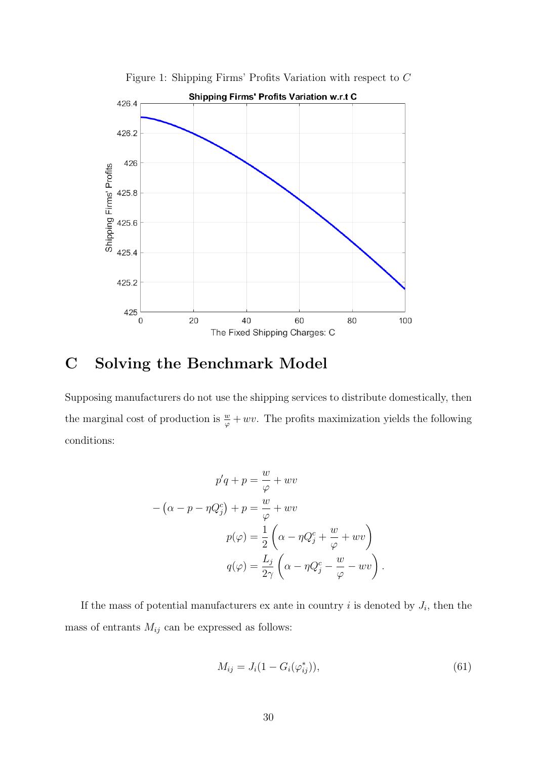

<span id="page-31-0"></span>Figure 1: Shipping Firms' Profits Variation with respect to C

## C Solving the Benchmark Model

Supposing manufacturers do not use the shipping services to distribute domestically, then the marginal cost of production is  $\frac{w}{\varphi} + wv$ . The profits maximization yields the following conditions:

$$
p'q + p = \frac{w}{\varphi} + wv
$$

$$
- (\alpha - p - \eta Q_j^c) + p = \frac{w}{\varphi} + wv
$$

$$
p(\varphi) = \frac{1}{2} \left( \alpha - \eta Q_j^c + \frac{w}{\varphi} + wv \right)
$$

$$
q(\varphi) = \frac{L_j}{2\gamma} \left( \alpha - \eta Q_j^c - \frac{w}{\varphi} - wv \right).
$$

If the mass of potential manufacturers ex ante in country  $i$  is denoted by  $J_i$ , then the mass of entrants  $M_{ij}$  can be expressed as follows:

$$
M_{ij} = J_i(1 - G_i(\varphi_{ij}^*)),
$$
\n(61)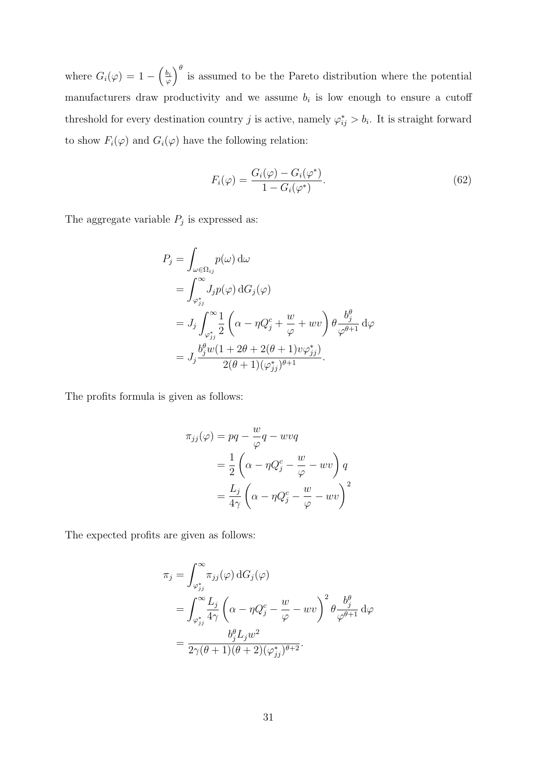where  $G_i(\varphi) = 1 - \left(\frac{b_i}{\varphi}\right)$  $\left(\frac{b_i}{\varphi}\right)^{\theta}$  is assumed to be the Pareto distribution where the potential manufacturers draw productivity and we assume  $b_i$  is low enough to ensure a cutoff threshold for every destination country j is active, namely  $\varphi_{ij}^* > b_i$ . It is straight forward to show  $F_i(\varphi)$  and  $G_i(\varphi)$  have the following relation:

$$
F_i(\varphi) = \frac{G_i(\varphi) - G_i(\varphi^*)}{1 - G_i(\varphi^*)}.
$$
\n(62)

The aggregate variable  $P_j$  is expressed as:

$$
P_j = \int_{\omega \in \Omega_{ij}} p(\omega) d\omega
$$
  
= 
$$
\int_{\varphi_{jj}^*}^{\infty} J_j p(\varphi) dG_j(\varphi)
$$
  
= 
$$
J_j \int_{\varphi_{jj}^*}^{\infty} \frac{1}{2} \left( \alpha - \eta Q_j^c + \frac{w}{\varphi} + wv \right) \theta \frac{b_j^{\theta}}{\varphi^{\theta+1}} d\varphi
$$
  
= 
$$
J_j \frac{b_j^{\theta} w (1 + 2\theta + 2(\theta + 1)v\varphi_{jj}^*)}{2(\theta + 1)(\varphi_{jj}^*)^{\theta+1}}.
$$

The profits formula is given as follows:

$$
\pi_{jj}(\varphi) = pq - \frac{w}{\varphi}q - wvq
$$
  
=  $\frac{1}{2} \left( \alpha - \eta Q_j^c - \frac{w}{\varphi} - wv \right) q$   
=  $\frac{L_j}{4\gamma} \left( \alpha - \eta Q_j^c - \frac{w}{\varphi} - wv \right)^2$ 

The expected profits are given as follows:

$$
\pi_j = \int_{\varphi_{jj}^*}^{\infty} \pi_{jj}(\varphi) dG_j(\varphi)
$$
  
= 
$$
\int_{\varphi_{jj}^*}^{\infty} \frac{L_j}{4\gamma} \left( \alpha - \eta Q_j^c - \frac{w}{\varphi} - wv \right)^2 \theta \frac{b_j^{\theta}}{\varphi^{\theta+1}} d\varphi
$$
  
= 
$$
\frac{b_j^{\theta} L_j w^2}{2\gamma(\theta+1)(\theta+2)(\varphi_{jj}^*)^{\theta+2}}.
$$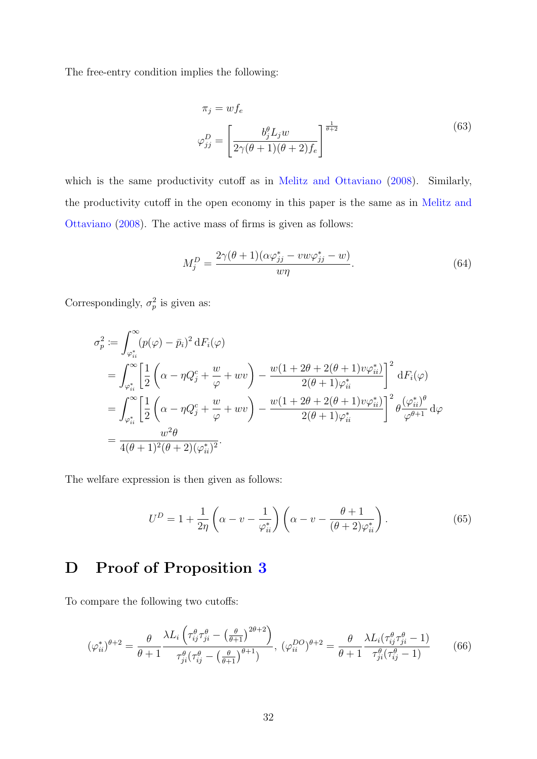The free-entry condition implies the following:

$$
\pi_j = wf_e
$$
\n
$$
\varphi_{jj}^D = \left[\frac{b_j^{\theta} L_j w}{2\gamma(\theta+1)(\theta+2)f_e}\right]^{\frac{1}{\theta+2}}
$$
\n(63)

which is the same productivity cutoff as in [Melitz and Ottaviano](#page-27-3) [\(2008\)](#page-27-3). Similarly, the productivity cutoff in the open economy in this paper is the same as in [Melitz and](#page-27-3) [Ottaviano](#page-27-3) [\(2008\)](#page-27-3). The active mass of firms is given as follows:

$$
M_j^D = \frac{2\gamma(\theta + 1)(\alpha\varphi_{jj}^* - vw\varphi_{jj}^* - w)}{w\eta}.\tag{64}
$$

Correspondingly,  $\sigma_p^2$  is given as:

$$
\sigma_p^2 \coloneqq \int_{\varphi_{ii}^*}^{\infty} (p(\varphi) - \bar{p}_i)^2 \, dF_i(\varphi)
$$
\n
$$
= \int_{\varphi_{ii}^*}^{\infty} \left[ \frac{1}{2} \left( \alpha - \eta Q_j^c + \frac{w}{\varphi} + wv \right) - \frac{w(1 + 2\theta + 2(\theta + 1)v\varphi_{ii}^*}{2(\theta + 1)\varphi_{ii}^*} \right]^2 \, dF_i(\varphi)
$$
\n
$$
= \int_{\varphi_{ii}^*}^{\infty} \left[ \frac{1}{2} \left( \alpha - \eta Q_j^c + \frac{w}{\varphi} + wv \right) - \frac{w(1 + 2\theta + 2(\theta + 1)v\varphi_{ii}^*}{2(\theta + 1)\varphi_{ii}^*} \right]^2 \theta \frac{(\varphi_{ii}^*)^\theta}{\varphi^{\theta + 1}} \, d\varphi
$$
\n
$$
= \frac{w^2 \theta}{4(\theta + 1)^2(\theta + 2)(\varphi_{ii}^*)^2}.
$$

The welfare expression is then given as follows:

$$
U^D = 1 + \frac{1}{2\eta} \left( \alpha - v - \frac{1}{\varphi_{ii}^*} \right) \left( \alpha - v - \frac{\theta + 1}{(\theta + 2)\varphi_{ii}^*} \right). \tag{65}
$$

# D Proof of Proposition [3](#page-17-1)

To compare the following two cutoffs:

$$
(\varphi_{ii}^*)^{\theta+2} = \frac{\theta}{\theta+1} \frac{\lambda L_i \left(\tau_{ij}^{\theta} \tau_{ji}^{\theta} - \left(\frac{\theta}{\theta+1}\right)^{2\theta+2}\right)}{\tau_{ji}^{\theta} \left(\tau_{ij}^{\theta} - \left(\frac{\theta}{\theta+1}\right)^{\theta+1}\right)}, \ (\varphi_{ii}^{DO})^{\theta+2} = \frac{\theta}{\theta+1} \frac{\lambda L_i (\tau_{ij}^{\theta} \tau_{ji}^{\theta}-1)}{\tau_{ji}^{\theta} \left(\tau_{ij}^{\theta}-1\right)} \tag{66}
$$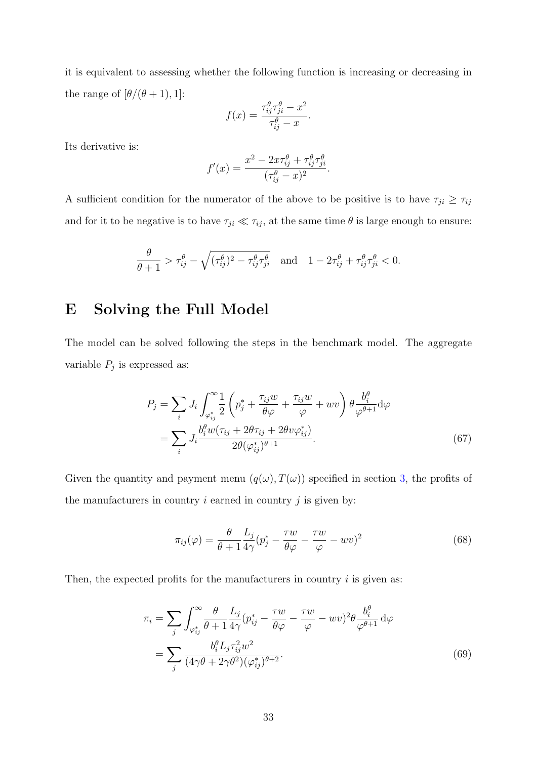it is equivalent to assessing whether the following function is increasing or decreasing in the range of  $[\theta/(\theta+1), 1]$ :

$$
f(x) = \frac{\tau_{ij}^{\theta} \tau_{ji}^{\theta} - x^2}{\tau_{ij}^{\theta} - x}.
$$

Its derivative is:

$$
f'(x) = \frac{x^2 - 2x\tau_{ij}^{\theta} + \tau_{ij}^{\theta}\tau_{ji}^{\theta}}{(\tau_{ij}^{\theta} - x)^2}.
$$

A sufficient condition for the numerator of the above to be positive is to have  $\tau_{ji} \geq \tau_{ij}$ and for it to be negative is to have  $\tau_{ji} \ll \tau_{ij}$ , at the same time  $\theta$  is large enough to ensure:

$$
\frac{\theta}{\theta+1} > \tau_{ij}^{\theta} - \sqrt{(\tau_{ij}^{\theta})^2 - \tau_{ij}^{\theta}\tau_{ji}^{\theta}} \quad \text{and} \quad 1 - 2\tau_{ij}^{\theta} + \tau_{ij}^{\theta}\tau_{ji}^{\theta} < 0.
$$

#### E Solving the Full Model

The model can be solved following the steps in the benchmark model. The aggregate variable  $P_j$  is expressed as:

$$
P_j = \sum_i J_i \int_{\varphi_{ij}^*}^{\infty} \frac{1}{2} \left( p_j^* + \frac{\tau_{ij} w}{\theta \varphi} + \frac{\tau_{ij} w}{\varphi} + wv \right) \theta \frac{b_i^{\theta}}{\varphi^{\theta+1}} d\varphi
$$
  
= 
$$
\sum_i J_i \frac{b_i^{\theta} w(\tau_{ij} + 2\theta \tau_{ij} + 2\theta v \varphi_{ij}^*)}{2\theta(\varphi_{ij}^*)^{\theta+1}}.
$$
 (67)

Given the quantity and payment menu  $(q(\omega), T(\omega))$  specified in section [3,](#page-7-0) the profits of the manufacturers in country  $i$  earned in country  $j$  is given by:

<span id="page-34-0"></span>
$$
\pi_{ij}(\varphi) = \frac{\theta}{\theta + 1} \frac{L_j}{4\gamma} (p_j^* - \frac{\tau w}{\theta \varphi} - \frac{\tau w}{\varphi} - wv)^2
$$
\n(68)

Then, the expected profits for the manufacturers in country  $i$  is given as:

$$
\pi_i = \sum_j \int_{\varphi_{ij}^*}^{\infty} \frac{\theta}{\theta + 1} \frac{L_j}{4\gamma} (p_{ij}^* - \frac{\tau w}{\theta \varphi} - \frac{\tau w}{\varphi} - wv)^2 \theta \frac{b_i^{\theta}}{\varphi^{\theta+1}} d\varphi
$$
  
= 
$$
\sum_j \frac{b_i^{\theta} L_j \tau_{ij}^2 w^2}{(4\gamma \theta + 2\gamma \theta^2)(\varphi_{ij}^*)^{\theta+2}}.
$$
 (69)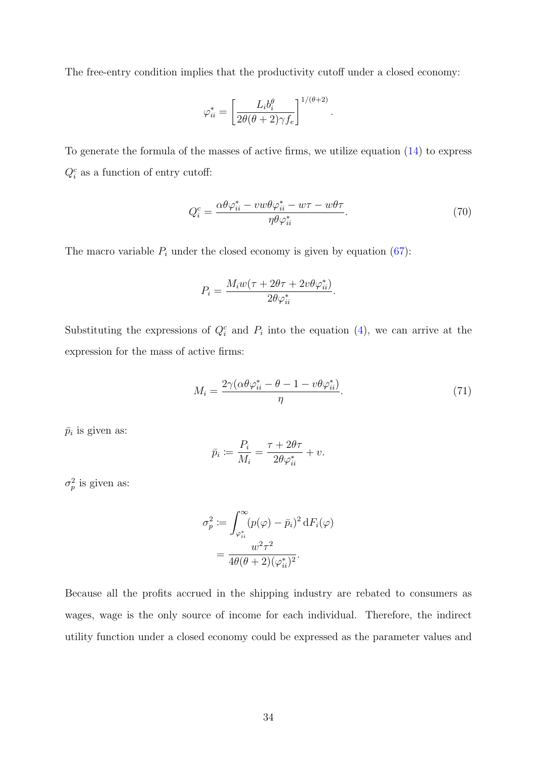The free-entry condition implies that the productivity cutoff under a closed economy:

$$
\varphi_{ii}^* = \left[\frac{L_i b_i^{\theta}}{2\theta(\theta + 2)\gamma f_e}\right]^{1/(\theta + 2)}
$$

To generate the formula of the masses of active firms, we utilize equation [\(14\)](#page-10-0) to express  $Q_i^c$  as a function of entry cutoff:

<span id="page-35-0"></span>
$$
Q_i^c = \frac{\alpha \theta \varphi_{ii}^* - v w \theta \varphi_{ii}^* - w \tau - w \theta \tau}{\eta \theta \varphi_{ii}^*}.
$$
\n
$$
(70)
$$

.

The macro variable  $P_i$  under the closed economy is given by equation [\(67\)](#page-34-0):

$$
P_i = \frac{M_i w(\tau + 2\theta \tau + 2v\theta \varphi_{ii}^*)}{2\theta \varphi_{ii}^*}.
$$

Substituting the expressions of  $Q_i^c$  and  $P_i$  into the equation [\(4\)](#page-6-1), we can arrive at the expression for the mass of active firms:

$$
M_i = \frac{2\gamma(\alpha\theta\varphi_{ii}^* - \theta - 1 - v\theta\varphi_{ii}^*)}{\eta}.
$$
\n(71)

 $\bar{p}_i$  is given as:

$$
\bar{p}_i \coloneqq \frac{P_i}{M_i} = \frac{\tau + 2\theta\tau}{2\theta\varphi_{ii}^*} + v.
$$

 $\sigma_p^2$  is given as:

$$
\sigma_p^2 := \int_{\varphi_{ii}^*}^{\infty} (p(\varphi) - \bar{p}_i)^2 \, dF_i(\varphi)
$$

$$
= \frac{w^2 \tau^2}{4\theta(\theta + 2)(\varphi_{ii}^*)^2}.
$$

Because all the profits accrued in the shipping industry are rebated to consumers as wages, wage is the only source of income for each individual. Therefore, the indirect utility function under a closed economy could be expressed as the parameter values and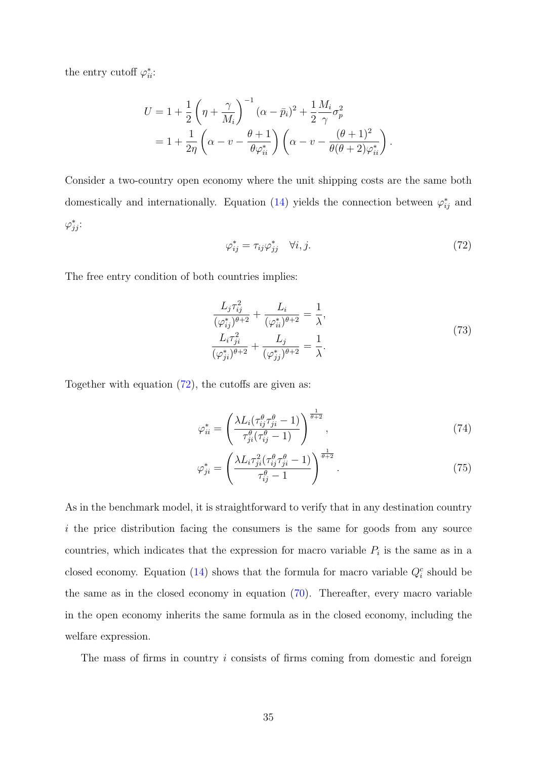the entry cutoff  $\varphi_{ii}^*$ :

$$
U = 1 + \frac{1}{2} \left( \eta + \frac{\gamma}{M_i} \right)^{-1} (\alpha - \bar{p}_i)^2 + \frac{1}{2} \frac{M_i}{\gamma} \sigma_p^2
$$
  
= 
$$
1 + \frac{1}{2\eta} \left( \alpha - v - \frac{\theta + 1}{\theta \varphi_{ii}^*} \right) \left( \alpha - v - \frac{(\theta + 1)^2}{\theta(\theta + 2)\varphi_{ii}^*} \right).
$$

Consider a two-country open economy where the unit shipping costs are the same both domestically and internationally. Equation [\(14\)](#page-10-0) yields the connection between  $\varphi_{ij}^*$  and  $\varphi_{jj}^*$ :

<span id="page-36-0"></span>
$$
\varphi_{ij}^* = \tau_{ij}\varphi_{jj}^* \quad \forall i, j. \tag{72}
$$

The free entry condition of both countries implies:

<span id="page-36-1"></span>
$$
\frac{L_j \tau_{ij}^2}{(\varphi_{ij}^*)^{\theta+2}} + \frac{L_i}{(\varphi_{ii}^*)^{\theta+2}} = \frac{1}{\lambda},
$$
\n
$$
\frac{L_i \tau_{ji}^2}{(\varphi_{ji}^*)^{\theta+2}} + \frac{L_j}{(\varphi_{jj}^*)^{\theta+2}} = \frac{1}{\lambda}.
$$
\n(73)

Together with equation [\(72\)](#page-36-0), the cutoffs are given as:

$$
\varphi_{ii}^* = \left(\frac{\lambda L_i(\tau_{ij}^\theta \tau_{ji}^\theta - 1)}{\tau_{ji}^\theta(\tau_{ij}^\theta - 1)}\right)^{\frac{1}{\theta + 2}},\tag{74}
$$

$$
\varphi_{ji}^* = \left(\frac{\lambda L_i \tau_{ji}^2 (\tau_{ij}^\theta \tau_{ji}^\theta - 1)}{\tau_{ij}^\theta - 1}\right)^{\frac{1}{\theta + 2}}.
$$
\n(75)

As in the benchmark model, it is straightforward to verify that in any destination country i the price distribution facing the consumers is the same for goods from any source countries, which indicates that the expression for macro variable  $P_i$  is the same as in a closed economy. Equation [\(14\)](#page-10-0) shows that the formula for macro variable  $Q_i^c$  should be the same as in the closed economy in equation [\(70\)](#page-35-0). Thereafter, every macro variable in the open economy inherits the same formula as in the closed economy, including the welfare expression.

The mass of firms in country  $i$  consists of firms coming from domestic and foreign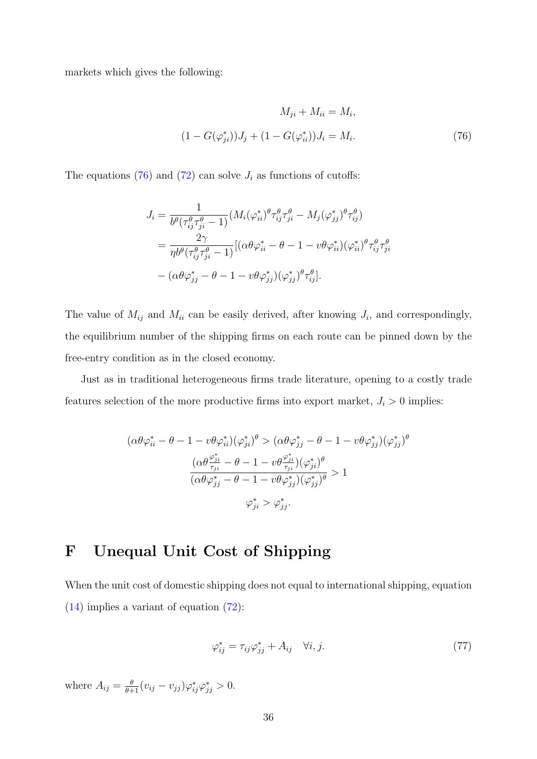markets which gives the following:

<span id="page-37-0"></span>
$$
M_{ji} + M_{ii} = M_i,
$$
  
(1 - G(\varphi\_{ji}^\*))J\_j + (1 - G(\varphi\_{ii}^\*))J\_i = M\_i. (76)

The equations [\(76\)](#page-37-0) and [\(72\)](#page-36-0) can solve  $J_i$  as functions of cutoffs:

$$
J_i = \frac{1}{b^{\theta}(\tau_{ij}^{\theta}\tau_{ji}^{\theta} - 1)} (M_i(\varphi_{ii}^*)^{\theta}\tau_{ij}^{\theta}\tau_{ji}^{\theta} - M_j(\varphi_{jj}^*)^{\theta}\tau_{ij}^{\theta})
$$
  

$$
= \frac{2\gamma}{\eta b^{\theta}(\tau_{ij}^{\theta}\tau_{ji}^{\theta} - 1)} [(\alpha\theta\varphi_{ii}^* - \theta - 1 - \upsilon\theta\varphi_{ii}^*)(\varphi_{ii}^*)^{\theta}\tau_{ij}^{\theta}\tau_{ji}^{\theta}
$$
  

$$
- (\alpha\theta\varphi_{jj}^* - \theta - 1 - \upsilon\theta\varphi_{jj}^*)(\varphi_{jj}^*)^{\theta}\tau_{ij}^{\theta}].
$$

The value of  $M_{ij}$  and  $M_{ii}$  can be easily derived, after knowing  $J_i$ , and correspondingly, the equilibrium number of the shipping firms on each route can be pinned down by the free-entry condition as in the closed economy.

Just as in traditional heterogeneous firms trade literature, opening to a costly trade features selection of the more productive firms into export market,  $J_i > 0$  implies:

$$
(\alpha \theta \varphi_{ii}^* - \theta - 1 - v \theta \varphi_{ii}^*) (\varphi_{ji}^*)^{\theta} > (\alpha \theta \varphi_{jj}^* - \theta - 1 - v \theta \varphi_{jj}^*) (\varphi_{jj}^*)^{\theta}
$$

$$
\frac{(\alpha \theta \frac{\varphi_{ji}^*}{\tau_{ji}} - \theta - 1 - v \theta \frac{\varphi_{ji}^*}{\tau_{ji}}) (\varphi_{ji}^*)^{\theta}}{(\alpha \theta \varphi_{jj}^* - \theta - 1 - v \theta \varphi_{jj}^*) (\varphi_{jj}^*)^{\theta}} > 1
$$

$$
\varphi_{ji}^* > \varphi_{jj}^*.
$$

# F Unequal Unit Cost of Shipping

When the unit cost of domestic shipping does not equal to international shipping, equation [\(14\)](#page-10-0) implies a variant of equation [\(72\)](#page-36-0):

<span id="page-37-1"></span>
$$
\varphi_{ij}^* = \tau_{ij}\varphi_{jj}^* + A_{ij} \quad \forall i, j. \tag{77}
$$

where  $A_{ij} = \frac{\theta}{\theta+1} (v_{ij} - v_{jj}) \varphi_{ij}^* \varphi_{jj}^* > 0.$